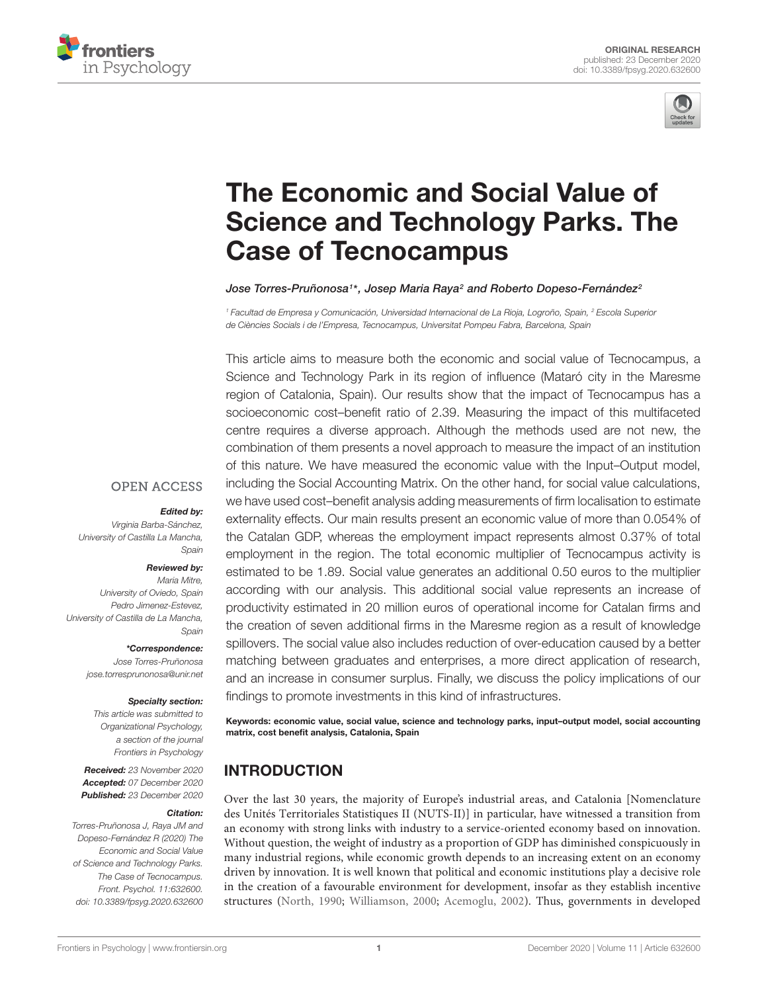



# The Economic and Social Value of [Science and Technology Parks. The](https://www.frontiersin.org/articles/10.3389/fpsyg.2020.632600/full) Case of Tecnocampus

Jose Torres-Pruñonosa1\*, Josep Maria Raya<sup>2</sup> and Roberto Dopeso-Fernández<sup>2</sup>

<sup>1</sup> Facultad de Empresa y Comunicación, Universidad Internacional de La Rioja, Logroño, Spain, <sup>2</sup> Escola Superior de Ciències Socials i de l'Empresa, Tecnocampus, Universitat Pompeu Fabra, Barcelona, Spain

This article aims to measure both the economic and social value of Tecnocampus, a Science and Technology Park in its region of influence (Mataró city in the Maresme region of Catalonia, Spain). Our results show that the impact of Tecnocampus has a socioeconomic cost–benefit ratio of 2.39. Measuring the impact of this multifaceted centre requires a diverse approach. Although the methods used are not new, the combination of them presents a novel approach to measure the impact of an institution of this nature. We have measured the economic value with the Input–Output model, including the Social Accounting Matrix. On the other hand, for social value calculations, we have used cost–benefit analysis adding measurements of firm localisation to estimate externality effects. Our main results present an economic value of more than 0.054% of the Catalan GDP, whereas the employment impact represents almost 0.37% of total employment in the region. The total economic multiplier of Tecnocampus activity is estimated to be 1.89. Social value generates an additional 0.50 euros to the multiplier according with our analysis. This additional social value represents an increase of productivity estimated in 20 million euros of operational income for Catalan firms and the creation of seven additional firms in the Maresme region as a result of knowledge spillovers. The social value also includes reduction of over-education caused by a better matching between graduates and enterprises, a more direct application of research, and an increase in consumer surplus. Finally, we discuss the policy implications of our findings to promote investments in this kind of infrastructures.

Keywords: economic value, social value, science and technology parks, input–output model, social accounting matrix, cost benefit analysis, Catalonia, Spain

## **INTRODUCTION**

Over the last 30 years, the majority of Europe's industrial areas, and Catalonia [Nomenclature des Unités Territoriales Statistiques II (NUTS-II)] in particular, have witnessed a transition from an economy with strong links with industry to a service-oriented economy based on innovation. Without question, the weight of industry as a proportion of GDP has diminished conspicuously in many industrial regions, while economic growth depends to an increasing extent on an economy driven by innovation. It is well known that political and economic institutions play a decisive role in the creation of a favourable environment for development, insofar as they establish incentive structures [\(North,](#page-14-0) [1990;](#page-14-0) [Williamson,](#page-15-0) [2000;](#page-15-0) [Acemoglu,](#page-13-0) [2002\)](#page-13-0). Thus, governments in developed

### **OPEN ACCESS**

### Edited by:

Virginia Barba-Sánchez, University of Castilla La Mancha, Spain

### Reviewed by:

Maria Mitre, University of Oviedo, Spain Pedro Jimenez-Estevez, University of Castilla de La Mancha, Spain

\*Correspondence:

Jose Torres-Pruñonosa jose.torresprunonosa@unir.net

### Specialty section:

This article was submitted to Organizational Psychology, a section of the journal Frontiers in Psychology

Received: 23 November 2020 Accepted: 07 December 2020 Published: 23 December 2020

#### Citation:

Torres-Pruñonosa J, Raya JM and Dopeso-Fernández R (2020) The Economic and Social Value of Science and Technology Parks. The Case of Tecnocampus. Front. Psychol. 11:632600. doi: [10.3389/fpsyg.2020.632600](https://doi.org/10.3389/fpsyg.2020.632600)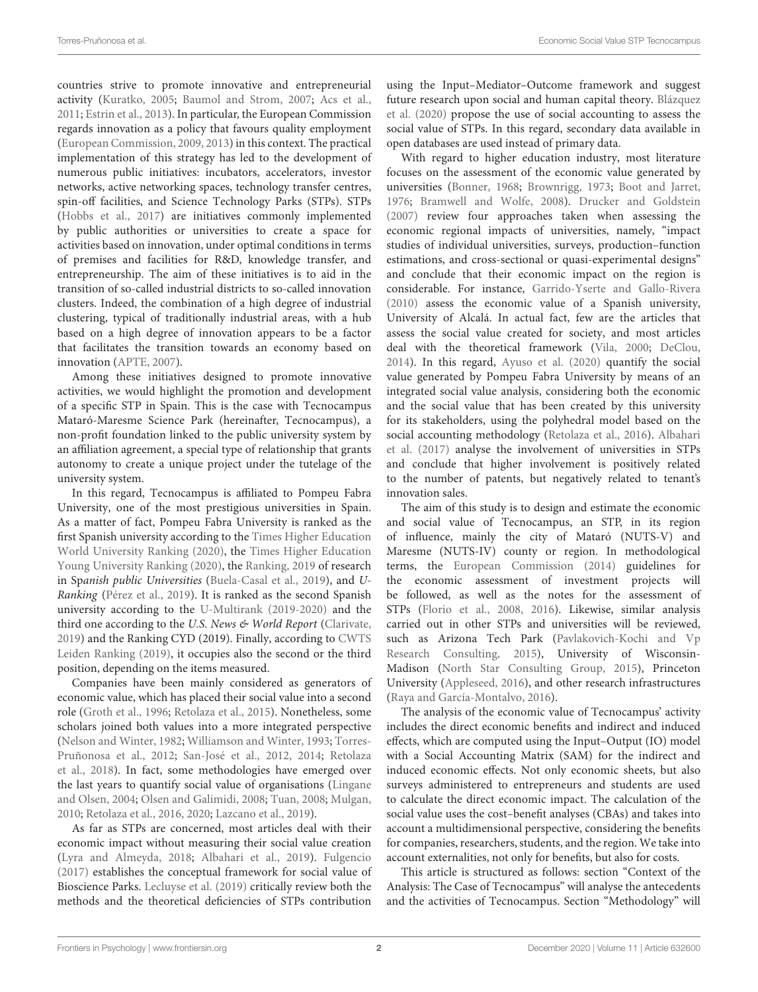countries strive to promote innovative and entrepreneurial activity [\(Kuratko,](#page-14-1) [2005;](#page-14-1) [Baumol and Strom,](#page-13-1) [2007;](#page-13-1) [Acs et al.,](#page-13-2) [2011;](#page-13-2) [Estrin et al.,](#page-13-3) [2013\)](#page-13-3). In particular, the European Commission regards innovation as a policy that favours quality employment [\(European Commission,](#page-13-4) [2009,](#page-13-4) [2013\)](#page-13-5) in this context. The practical implementation of this strategy has led to the development of numerous public initiatives: incubators, accelerators, investor networks, active networking spaces, technology transfer centres, spin-off facilities, and Science Technology Parks (STPs). STPs [\(Hobbs et al.,](#page-14-2) [2017\)](#page-14-2) are initiatives commonly implemented by public authorities or universities to create a space for activities based on innovation, under optimal conditions in terms of premises and facilities for R&D, knowledge transfer, and entrepreneurship. The aim of these initiatives is to aid in the transition of so-called industrial districts to so-called innovation clusters. Indeed, the combination of a high degree of industrial clustering, typical of traditionally industrial areas, with a hub based on a high degree of innovation appears to be a factor that facilitates the transition towards an economy based on innovation [\(APTE,](#page-13-6) [2007\)](#page-13-6).

Among these initiatives designed to promote innovative activities, we would highlight the promotion and development of a specific STP in Spain. This is the case with Tecnocampus Mataró-Maresme Science Park (hereinafter, Tecnocampus), a non-profit foundation linked to the public university system by an affiliation agreement, a special type of relationship that grants autonomy to create a unique project under the tutelage of the university system.

In this regard, Tecnocampus is affiliated to Pompeu Fabra University, one of the most prestigious universities in Spain. As a matter of fact, Pompeu Fabra University is ranked as the first Spanish university according to the [Times Higher Education](#page-15-1) [World University Ranking](#page-15-1) [\(2020\)](#page-15-1), the [Times Higher Education](#page-15-2) [Young University Ranking](#page-15-2) [\(2020\)](#page-15-2), the [Ranking,](#page-14-3) [2019](#page-14-3) of research in Spanish public Universities [\(Buela-Casal et al.,](#page-13-7) [2019\)](#page-13-7), and U-Ranking [\(Pérez et al.,](#page-14-4) [2019\)](#page-14-4). It is ranked as the second Spanish university according to the [U-Multirank](#page-15-3) [\(2019-2020\)](#page-15-3) and the third one according to the U.S. News & World Report [\(Clarivate,](#page-13-8) [2019\)](#page-13-8) and the Ranking CYD (2019). Finally, according to [CWTS](#page-13-9) [Leiden Ranking](#page-13-9) [\(2019\)](#page-13-9), it occupies also the second or the third position, depending on the items measured.

Companies have been mainly considered as generators of economic value, which has placed their social value into a second role [\(Groth et al.,](#page-14-5) [1996;](#page-14-5) [Retolaza et al.,](#page-14-6) [2015\)](#page-14-6). Nonetheless, some scholars joined both values into a more integrated perspective [\(Nelson and Winter,](#page-14-7) [1982;](#page-14-7) [Williamson and Winter,](#page-15-4) [1993;](#page-15-4) [Torres-](#page-15-5)[Pruñonosa et al.,](#page-15-5) [2012;](#page-15-5) [San-José et al.,](#page-14-8) [2012,](#page-14-8) [2014;](#page-14-9) [Retolaza](#page-14-10) [et al.,](#page-14-10) [2018\)](#page-14-10). In fact, some methodologies have emerged over the last years to quantify social value of organisations [\(Lingane](#page-14-11) [and Olsen,](#page-14-11) [2004;](#page-14-11) [Olsen and Galimidi,](#page-14-12) [2008;](#page-14-12) [Tuan,](#page-15-6) [2008;](#page-15-6) [Mulgan,](#page-14-13) [2010;](#page-14-13) [Retolaza et al.,](#page-14-14) [2016,](#page-14-14) [2020;](#page-14-15) [Lazcano et al.,](#page-14-16) [2019\)](#page-14-16).

As far as STPs are concerned, most articles deal with their economic impact without measuring their social value creation [\(Lyra and Almeyda,](#page-14-17) [2018;](#page-14-17) [Albahari et al.,](#page-13-10) [2019\)](#page-13-10). [Fulgencio](#page-14-18) [\(2017\)](#page-14-18) establishes the conceptual framework for social value of Bioscience Parks. [Lecluyse et al.](#page-14-19) [\(2019\)](#page-14-19) critically review both the methods and the theoretical deficiencies of STPs contribution

using the Input–Mediator–Outcome framework and suggest future research upon social and human capital theory. [Blázquez](#page-13-11) [et al.](#page-13-11) [\(2020\)](#page-13-11) propose the use of social accounting to assess the social value of STPs. In this regard, secondary data available in open databases are used instead of primary data.

With regard to higher education industry, most literature focuses on the assessment of the economic value generated by universities [\(Bonner,](#page-13-12) [1968;](#page-13-12) [Brownrigg,](#page-13-13) [1973;](#page-13-13) [Boot and Jarret,](#page-13-14) [1976;](#page-13-14) [Bramwell and Wolfe,](#page-13-15) [2008\)](#page-13-15). [Drucker and Goldstein](#page-13-16) [\(2007\)](#page-13-16) review four approaches taken when assessing the economic regional impacts of universities, namely, "impact studies of individual universities, surveys, production–function estimations, and cross-sectional or quasi-experimental designs" and conclude that their economic impact on the region is considerable. For instance, [Garrido-Yserte and Gallo-Rivera](#page-14-20) [\(2010\)](#page-14-20) assess the economic value of a Spanish university, University of Alcalá. In actual fact, few are the articles that assess the social value created for society, and most articles deal with the theoretical framework [\(Vila,](#page-15-7) [2000;](#page-15-7) [DeClou,](#page-13-17) [2014\)](#page-13-17). In this regard, [Ayuso et al.](#page-13-18) [\(2020\)](#page-13-18) quantify the social value generated by Pompeu Fabra University by means of an integrated social value analysis, considering both the economic and the social value that has been created by this university for its stakeholders, using the polyhedral model based on the social accounting methodology [\(Retolaza et al.,](#page-14-14) [2016\)](#page-14-14). [Albahari](#page-13-19) [et al.](#page-13-19) [\(2017\)](#page-13-19) analyse the involvement of universities in STPs and conclude that higher involvement is positively related to the number of patents, but negatively related to tenant's innovation sales.

The aim of this study is to design and estimate the economic and social value of Tecnocampus, an STP, in its region of influence, mainly the city of Mataró (NUTS-V) and Maresme (NUTS-IV) county or region. In methodological terms, the [European Commission](#page-13-20) [\(2014\)](#page-13-20) guidelines for the economic assessment of investment projects will be followed, as well as the notes for the assessment of STPs [\(Florio et al.,](#page-13-21) [2008,](#page-13-21) [2016\)](#page-13-22). Likewise, similar analysis carried out in other STPs and universities will be reviewed, such as Arizona Tech Park [\(Pavlakovich-Kochi and Vp](#page-14-21) [Research Consulting,](#page-14-21) [2015\)](#page-14-21), University of Wisconsin-Madison [\(North Star Consulting Group,](#page-14-22) [2015\)](#page-14-22), Princeton University [\(Appleseed,](#page-13-23) [2016\)](#page-13-23), and other research infrastructures [\(Raya and García-Montalvo,](#page-14-23) [2016\)](#page-14-23).

The analysis of the economic value of Tecnocampus' activity includes the direct economic benefits and indirect and induced effects, which are computed using the Input–Output (IO) model with a Social Accounting Matrix (SAM) for the indirect and induced economic effects. Not only economic sheets, but also surveys administered to entrepreneurs and students are used to calculate the direct economic impact. The calculation of the social value uses the cost–benefit analyses (CBAs) and takes into account a multidimensional perspective, considering the benefits for companies, researchers, students, and the region. We take into account externalities, not only for benefits, but also for costs.

This article is structured as follows: section "Context of the Analysis: The Case of Tecnocampus" will analyse the antecedents and the activities of Tecnocampus. Section "Methodology" will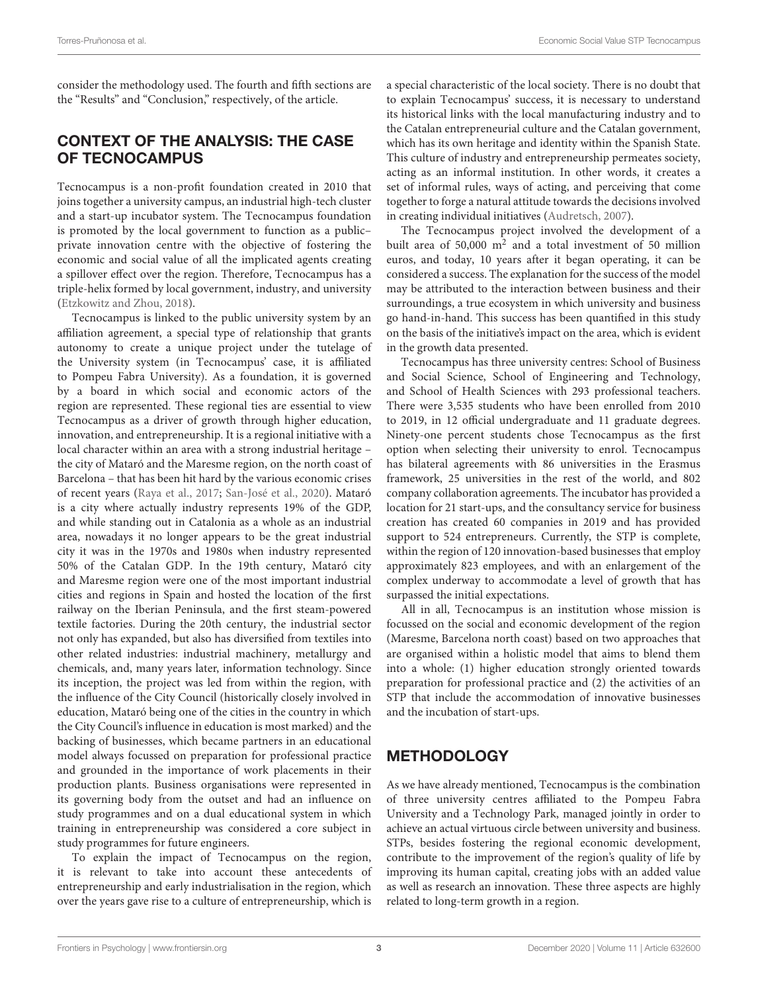consider the methodology used. The fourth and fifth sections are the "Results" and "Conclusion," respectively, of the article.

### CONTEXT OF THE ANALYSIS: THE CASE OF TECNOCAMPUS

Tecnocampus is a non-profit foundation created in 2010 that joins together a university campus, an industrial high-tech cluster and a start-up incubator system. The Tecnocampus foundation is promoted by the local government to function as a public– private innovation centre with the objective of fostering the economic and social value of all the implicated agents creating a spillover effect over the region. Therefore, Tecnocampus has a triple-helix formed by local government, industry, and university [\(Etzkowitz and Zhou,](#page-13-24) [2018\)](#page-13-24).

Tecnocampus is linked to the public university system by an affiliation agreement, a special type of relationship that grants autonomy to create a unique project under the tutelage of the University system (in Tecnocampus' case, it is affiliated to Pompeu Fabra University). As a foundation, it is governed by a board in which social and economic actors of the region are represented. These regional ties are essential to view Tecnocampus as a driver of growth through higher education, innovation, and entrepreneurship. It is a regional initiative with a local character within an area with a strong industrial heritage – the city of Mataró and the Maresme region, on the north coast of Barcelona – that has been hit hard by the various economic crises of recent years [\(Raya et al.,](#page-14-24) [2017;](#page-14-24) [San-José et al.,](#page-14-25) [2020\)](#page-14-25). Mataró is a city where actually industry represents 19% of the GDP, and while standing out in Catalonia as a whole as an industrial area, nowadays it no longer appears to be the great industrial city it was in the 1970s and 1980s when industry represented 50% of the Catalan GDP. In the 19th century, Mataró city and Maresme region were one of the most important industrial cities and regions in Spain and hosted the location of the first railway on the Iberian Peninsula, and the first steam-powered textile factories. During the 20th century, the industrial sector not only has expanded, but also has diversified from textiles into other related industries: industrial machinery, metallurgy and chemicals, and, many years later, information technology. Since its inception, the project was led from within the region, with the influence of the City Council (historically closely involved in education, Mataró being one of the cities in the country in which the City Council's influence in education is most marked) and the backing of businesses, which became partners in an educational model always focussed on preparation for professional practice and grounded in the importance of work placements in their production plants. Business organisations were represented in its governing body from the outset and had an influence on study programmes and on a dual educational system in which training in entrepreneurship was considered a core subject in study programmes for future engineers.

To explain the impact of Tecnocampus on the region, it is relevant to take into account these antecedents of entrepreneurship and early industrialisation in the region, which over the years gave rise to a culture of entrepreneurship, which is

a special characteristic of the local society. There is no doubt that to explain Tecnocampus' success, it is necessary to understand its historical links with the local manufacturing industry and to the Catalan entrepreneurial culture and the Catalan government, which has its own heritage and identity within the Spanish State. This culture of industry and entrepreneurship permeates society, acting as an informal institution. In other words, it creates a set of informal rules, ways of acting, and perceiving that come together to forge a natural attitude towards the decisions involved in creating individual initiatives [\(Audretsch,](#page-13-25) [2007\)](#page-13-25).

The Tecnocampus project involved the development of a built area of 50,000  $m^2$  and a total investment of 50 million euros, and today, 10 years after it began operating, it can be considered a success. The explanation for the success of the model may be attributed to the interaction between business and their surroundings, a true ecosystem in which university and business go hand-in-hand. This success has been quantified in this study on the basis of the initiative's impact on the area, which is evident in the growth data presented.

Tecnocampus has three university centres: School of Business and Social Science, School of Engineering and Technology, and School of Health Sciences with 293 professional teachers. There were 3,535 students who have been enrolled from 2010 to 2019, in 12 official undergraduate and 11 graduate degrees. Ninety-one percent students chose Tecnocampus as the first option when selecting their university to enrol. Tecnocampus has bilateral agreements with 86 universities in the Erasmus framework, 25 universities in the rest of the world, and 802 company collaboration agreements. The incubator has provided a location for 21 start-ups, and the consultancy service for business creation has created 60 companies in 2019 and has provided support to 524 entrepreneurs. Currently, the STP is complete, within the region of 120 innovation-based businesses that employ approximately 823 employees, and with an enlargement of the complex underway to accommodate a level of growth that has surpassed the initial expectations.

All in all, Tecnocampus is an institution whose mission is focussed on the social and economic development of the region (Maresme, Barcelona north coast) based on two approaches that are organised within a holistic model that aims to blend them into a whole: (1) higher education strongly oriented towards preparation for professional practice and (2) the activities of an STP that include the accommodation of innovative businesses and the incubation of start-ups.

## **METHODOLOGY**

As we have already mentioned, Tecnocampus is the combination of three university centres affiliated to the Pompeu Fabra University and a Technology Park, managed jointly in order to achieve an actual virtuous circle between university and business. STPs, besides fostering the regional economic development, contribute to the improvement of the region's quality of life by improving its human capital, creating jobs with an added value as well as research an innovation. These three aspects are highly related to long-term growth in a region.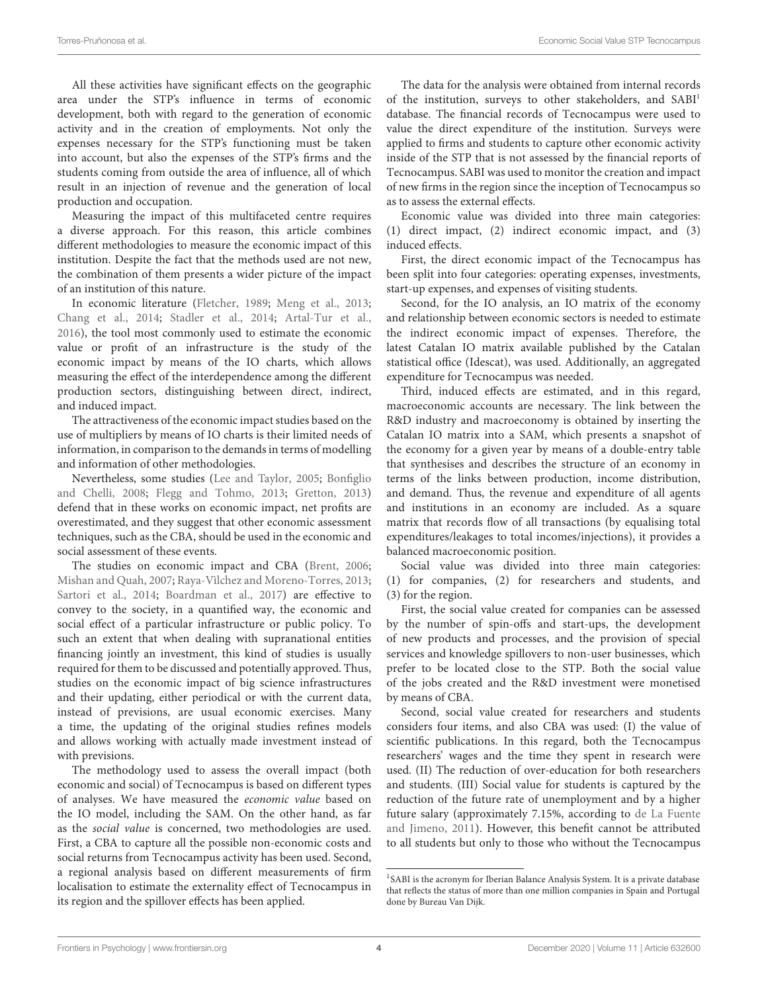All these activities have significant effects on the geographic area under the STP's influence in terms of economic development, both with regard to the generation of economic activity and in the creation of employments. Not only the expenses necessary for the STP's functioning must be taken into account, but also the expenses of the STP's firms and the students coming from outside the area of influence, all of which result in an injection of revenue and the generation of local production and occupation.

Measuring the impact of this multifaceted centre requires a diverse approach. For this reason, this article combines different methodologies to measure the economic impact of this institution. Despite the fact that the methods used are not new, the combination of them presents a wider picture of the impact of an institution of this nature.

In economic literature [\(Fletcher,](#page-13-26) [1989;](#page-13-26) [Meng et al.,](#page-14-26) [2013;](#page-14-26) [Chang et al.,](#page-13-27) [2014;](#page-13-27) [Stadler et al.,](#page-15-8) [2014;](#page-15-8) [Artal-Tur et al.,](#page-13-28) [2016\)](#page-13-28), the tool most commonly used to estimate the economic value or profit of an infrastructure is the study of the economic impact by means of the IO charts, which allows measuring the effect of the interdependence among the different production sectors, distinguishing between direct, indirect, and induced impact.

The attractiveness of the economic impact studies based on the use of multipliers by means of IO charts is their limited needs of information, in comparison to the demands in terms of modelling and information of other methodologies.

Nevertheless, some studies [\(Lee and Taylor,](#page-14-27) [2005;](#page-14-27) [Bonfiglio](#page-13-29) [and Chelli,](#page-13-29) [2008;](#page-13-29) [Flegg and Tohmo,](#page-13-30) [2013;](#page-13-30) [Gretton,](#page-14-28) [2013\)](#page-14-28) defend that in these works on economic impact, net profits are overestimated, and they suggest that other economic assessment techniques, such as the CBA, should be used in the economic and social assessment of these events.

The studies on economic impact and CBA [\(Brent,](#page-13-31) [2006;](#page-13-31) [Mishan and Quah,](#page-14-29) [2007;](#page-14-29) [Raya-Vìlchez and Moreno-Torres,](#page-14-30) [2013;](#page-14-30) [Sartori et al.,](#page-15-9) [2014;](#page-15-9) [Boardman et al.,](#page-13-32) [2017\)](#page-13-32) are effective to convey to the society, in a quantified way, the economic and social effect of a particular infrastructure or public policy. To such an extent that when dealing with supranational entities financing jointly an investment, this kind of studies is usually required for them to be discussed and potentially approved. Thus, studies on the economic impact of big science infrastructures and their updating, either periodical or with the current data, instead of previsions, are usual economic exercises. Many a time, the updating of the original studies refines models and allows working with actually made investment instead of with previsions.

The methodology used to assess the overall impact (both economic and social) of Tecnocampus is based on different types of analyses. We have measured the economic value based on the IO model, including the SAM. On the other hand, as far as the social value is concerned, two methodologies are used. First, a CBA to capture all the possible non-economic costs and social returns from Tecnocampus activity has been used. Second, a regional analysis based on different measurements of firm localisation to estimate the externality effect of Tecnocampus in its region and the spillover effects has been applied.

The data for the analysis were obtained from internal records of the institution, surveys to other stakeholders, and SABI<sup>[1](#page-3-0)</sup> database. The financial records of Tecnocampus were used to value the direct expenditure of the institution. Surveys were applied to firms and students to capture other economic activity inside of the STP that is not assessed by the financial reports of Tecnocampus. SABI was used to monitor the creation and impact of new firms in the region since the inception of Tecnocampus so as to assess the external effects.

Economic value was divided into three main categories: (1) direct impact, (2) indirect economic impact, and (3) induced effects.

First, the direct economic impact of the Tecnocampus has been split into four categories: operating expenses, investments, start-up expenses, and expenses of visiting students.

Second, for the IO analysis, an IO matrix of the economy and relationship between economic sectors is needed to estimate the indirect economic impact of expenses. Therefore, the latest Catalan IO matrix available published by the Catalan statistical office (Idescat), was used. Additionally, an aggregated expenditure for Tecnocampus was needed.

Third, induced effects are estimated, and in this regard, macroeconomic accounts are necessary. The link between the R&D industry and macroeconomy is obtained by inserting the Catalan IO matrix into a SAM, which presents a snapshot of the economy for a given year by means of a double-entry table that synthesises and describes the structure of an economy in terms of the links between production, income distribution, and demand. Thus, the revenue and expenditure of all agents and institutions in an economy are included. As a square matrix that records flow of all transactions (by equalising total expenditures/leakages to total incomes/injections), it provides a balanced macroeconomic position.

Social value was divided into three main categories: (1) for companies, (2) for researchers and students, and (3) for the region.

First, the social value created for companies can be assessed by the number of spin-offs and start-ups, the development of new products and processes, and the provision of special services and knowledge spillovers to non-user businesses, which prefer to be located close to the STP. Both the social value of the jobs created and the R&D investment were monetised by means of CBA.

Second, social value created for researchers and students considers four items, and also CBA was used: (I) the value of scientific publications. In this regard, both the Tecnocampus researchers' wages and the time they spent in research were used. (II) The reduction of over-education for both researchers and students. (III) Social value for students is captured by the reduction of the future rate of unemployment and by a higher future salary (approximately 7.15%, according to [de La Fuente](#page-13-33) [and Jimeno,](#page-13-33) [2011\)](#page-13-33). However, this benefit cannot be attributed to all students but only to those who without the Tecnocampus

<span id="page-3-0"></span><sup>&</sup>lt;sup>1</sup>SABI is the acronym for Iberian Balance Analysis System. It is a private database that reflects the status of more than one million companies in Spain and Portugal done by Bureau Van Dijk.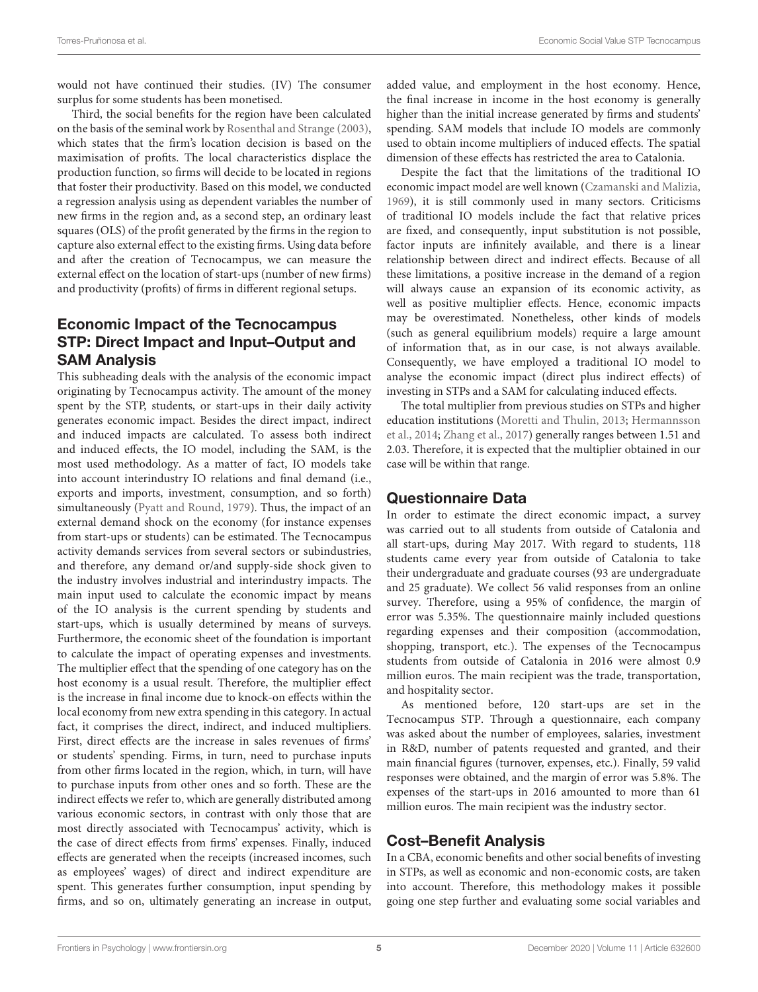would not have continued their studies. (IV) The consumer surplus for some students has been monetised.

Third, the social benefits for the region have been calculated on the basis of the seminal work by [Rosenthal and Strange](#page-14-31) [\(2003\)](#page-14-31), which states that the firm's location decision is based on the maximisation of profits. The local characteristics displace the production function, so firms will decide to be located in regions that foster their productivity. Based on this model, we conducted a regression analysis using as dependent variables the number of new firms in the region and, as a second step, an ordinary least squares (OLS) of the profit generated by the firms in the region to capture also external effect to the existing firms. Using data before and after the creation of Tecnocampus, we can measure the external effect on the location of start-ups (number of new firms) and productivity (profits) of firms in different regional setups.

## Economic Impact of the Tecnocampus STP: Direct Impact and Input–Output and SAM Analysis

This subheading deals with the analysis of the economic impact originating by Tecnocampus activity. The amount of the money spent by the STP, students, or start-ups in their daily activity generates economic impact. Besides the direct impact, indirect and induced impacts are calculated. To assess both indirect and induced effects, the IO model, including the SAM, is the most used methodology. As a matter of fact, IO models take into account interindustry IO relations and final demand (i.e., exports and imports, investment, consumption, and so forth) simultaneously [\(Pyatt and Round,](#page-14-32) [1979\)](#page-14-32). Thus, the impact of an external demand shock on the economy (for instance expenses from start-ups or students) can be estimated. The Tecnocampus activity demands services from several sectors or subindustries, and therefore, any demand or/and supply-side shock given to the industry involves industrial and interindustry impacts. The main input used to calculate the economic impact by means of the IO analysis is the current spending by students and start-ups, which is usually determined by means of surveys. Furthermore, the economic sheet of the foundation is important to calculate the impact of operating expenses and investments. The multiplier effect that the spending of one category has on the host economy is a usual result. Therefore, the multiplier effect is the increase in final income due to knock-on effects within the local economy from new extra spending in this category. In actual fact, it comprises the direct, indirect, and induced multipliers. First, direct effects are the increase in sales revenues of firms' or students' spending. Firms, in turn, need to purchase inputs from other firms located in the region, which, in turn, will have to purchase inputs from other ones and so forth. These are the indirect effects we refer to, which are generally distributed among various economic sectors, in contrast with only those that are most directly associated with Tecnocampus' activity, which is the case of direct effects from firms' expenses. Finally, induced effects are generated when the receipts (increased incomes, such as employees' wages) of direct and indirect expenditure are spent. This generates further consumption, input spending by firms, and so on, ultimately generating an increase in output,

added value, and employment in the host economy. Hence, the final increase in income in the host economy is generally higher than the initial increase generated by firms and students' spending. SAM models that include IO models are commonly used to obtain income multipliers of induced effects. The spatial dimension of these effects has restricted the area to Catalonia.

Despite the fact that the limitations of the traditional IO economic impact model are well known [\(Czamanski and Malizia,](#page-13-34) [1969\)](#page-13-34), it is still commonly used in many sectors. Criticisms of traditional IO models include the fact that relative prices are fixed, and consequently, input substitution is not possible, factor inputs are infinitely available, and there is a linear relationship between direct and indirect effects. Because of all these limitations, a positive increase in the demand of a region will always cause an expansion of its economic activity, as well as positive multiplier effects. Hence, economic impacts may be overestimated. Nonetheless, other kinds of models (such as general equilibrium models) require a large amount of information that, as in our case, is not always available. Consequently, we have employed a traditional IO model to analyse the economic impact (direct plus indirect effects) of investing in STPs and a SAM for calculating induced effects.

The total multiplier from previous studies on STPs and higher education institutions [\(Moretti and Thulin,](#page-14-33) [2013;](#page-14-33) [Hermannsson](#page-14-34) [et al.,](#page-14-34) [2014;](#page-14-34) [Zhang et al.,](#page-15-10) [2017\)](#page-15-10) generally ranges between 1.51 and 2.03. Therefore, it is expected that the multiplier obtained in our case will be within that range.

## Questionnaire Data

In order to estimate the direct economic impact, a survey was carried out to all students from outside of Catalonia and all start-ups, during May 2017. With regard to students, 118 students came every year from outside of Catalonia to take their undergraduate and graduate courses (93 are undergraduate and 25 graduate). We collect 56 valid responses from an online survey. Therefore, using a 95% of confidence, the margin of error was 5.35%. The questionnaire mainly included questions regarding expenses and their composition (accommodation, shopping, transport, etc.). The expenses of the Tecnocampus students from outside of Catalonia in 2016 were almost 0.9 million euros. The main recipient was the trade, transportation, and hospitality sector.

As mentioned before, 120 start-ups are set in the Tecnocampus STP. Through a questionnaire, each company was asked about the number of employees, salaries, investment in R&D, number of patents requested and granted, and their main financial figures (turnover, expenses, etc.). Finally, 59 valid responses were obtained, and the margin of error was 5.8%. The expenses of the start-ups in 2016 amounted to more than 61 million euros. The main recipient was the industry sector.

## Cost–Benefit Analysis

In a CBA, economic benefits and other social benefits of investing in STPs, as well as economic and non-economic costs, are taken into account. Therefore, this methodology makes it possible going one step further and evaluating some social variables and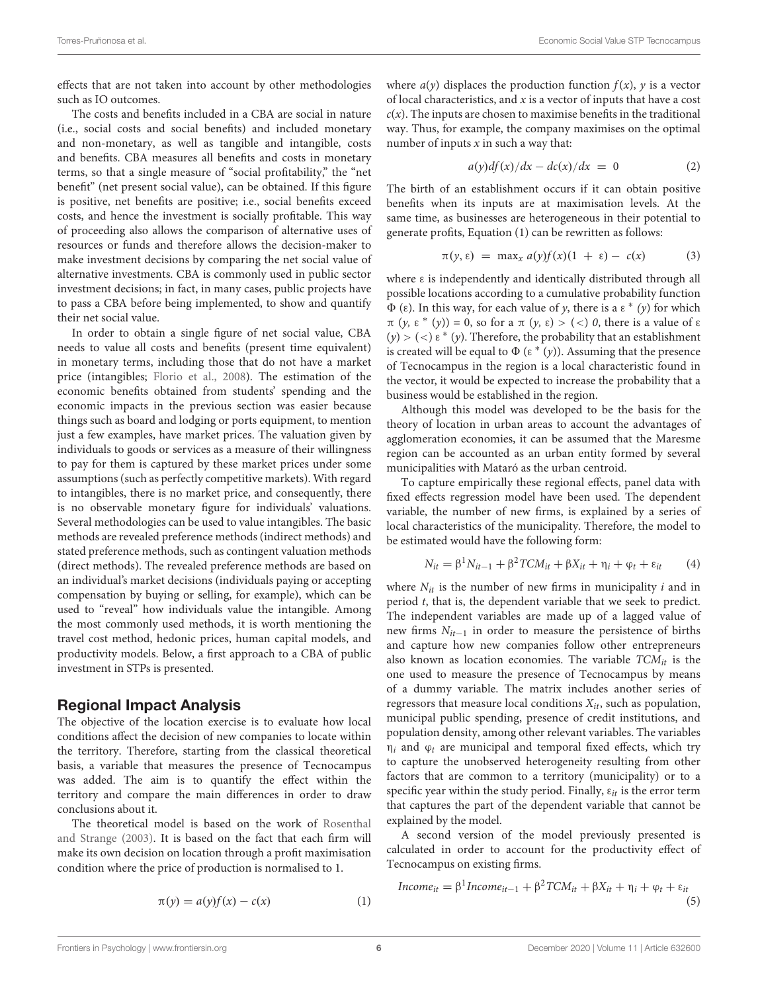effects that are not taken into account by other methodologies such as IO outcomes.

The costs and benefits included in a CBA are social in nature (i.e., social costs and social benefits) and included monetary and non-monetary, as well as tangible and intangible, costs and benefits. CBA measures all benefits and costs in monetary terms, so that a single measure of "social profitability," the "net benefit" (net present social value), can be obtained. If this figure is positive, net benefits are positive; i.e., social benefits exceed costs, and hence the investment is socially profitable. This way of proceeding also allows the comparison of alternative uses of resources or funds and therefore allows the decision-maker to make investment decisions by comparing the net social value of alternative investments. CBA is commonly used in public sector investment decisions; in fact, in many cases, public projects have to pass a CBA before being implemented, to show and quantify their net social value.

In order to obtain a single figure of net social value, CBA needs to value all costs and benefits (present time equivalent) in monetary terms, including those that do not have a market price (intangibles; [Florio et al.,](#page-13-21) [2008\)](#page-13-21). The estimation of the economic benefits obtained from students' spending and the economic impacts in the previous section was easier because things such as board and lodging or ports equipment, to mention just a few examples, have market prices. The valuation given by individuals to goods or services as a measure of their willingness to pay for them is captured by these market prices under some assumptions (such as perfectly competitive markets). With regard to intangibles, there is no market price, and consequently, there is no observable monetary figure for individuals' valuations. Several methodologies can be used to value intangibles. The basic methods are revealed preference methods (indirect methods) and stated preference methods, such as contingent valuation methods (direct methods). The revealed preference methods are based on an individual's market decisions (individuals paying or accepting compensation by buying or selling, for example), which can be used to "reveal" how individuals value the intangible. Among the most commonly used methods, it is worth mentioning the travel cost method, hedonic prices, human capital models, and productivity models. Below, a first approach to a CBA of public investment in STPs is presented.

### Regional Impact Analysis

The objective of the location exercise is to evaluate how local conditions affect the decision of new companies to locate within the territory. Therefore, starting from the classical theoretical basis, a variable that measures the presence of Tecnocampus was added. The aim is to quantify the effect within the territory and compare the main differences in order to draw conclusions about it.

The theoretical model is based on the work of [Rosenthal](#page-14-31) [and Strange](#page-14-31) [\(2003\)](#page-14-31). It is based on the fact that each firm will make its own decision on location through a profit maximisation condition where the price of production is normalised to 1.

where 
$$
a(y)
$$
 displaces the production function  $f(x)$ ,  $y$  is a vector of local characteristics, and  $x$  is a vector of inputs that have a cost  $c(x)$ . The inputs are chosen to maximise benefits in the traditional way. Thus, for example, the company maximises on the optimal number of inputs  $x$  in such a way that:

$$
a(y)df(x)/dx - dc(x)/dx = 0 \qquad (2)
$$

The birth of an establishment occurs if it can obtain positive benefits when its inputs are at maximisation levels. At the same time, as businesses are heterogeneous in their potential to generate profits, Equation (1) can be rewritten as follows:

$$
\pi(y, \varepsilon) = \max_{x} a(y) f(x) (1 + \varepsilon) - c(x) \tag{3}
$$

where ε is independently and identically distributed through all possible locations according to a cumulative probability function  $\Phi$  (ε). In this way, for each value of y, there is a ε \* (y) for which  $π(y, ε*(y)) = 0$ , so for a  $π(y, ε) > (<) 0$ , there is a value of ε  $(y)$  > (<)  $\varepsilon$  \* (y). Therefore, the probability that an establishment is created will be equal to  $\Phi$  ( $\varepsilon^*(y)$ ). Assuming that the presence of Tecnocampus in the region is a local characteristic found in the vector, it would be expected to increase the probability that a business would be established in the region.

Although this model was developed to be the basis for the theory of location in urban areas to account the advantages of agglomeration economies, it can be assumed that the Maresme region can be accounted as an urban entity formed by several municipalities with Mataró as the urban centroid.

To capture empirically these regional effects, panel data with fixed effects regression model have been used. The dependent variable, the number of new firms, is explained by a series of local characteristics of the municipality. Therefore, the model to be estimated would have the following form:

$$
N_{it} = \beta^{1} N_{it-1} + \beta^{2} T C M_{it} + \beta X_{it} + \eta_{i} + \varphi_{t} + \varepsilon_{it}
$$
 (4)

where  $N_{it}$  is the number of new firms in municipality i and in period t, that is, the dependent variable that we seek to predict. The independent variables are made up of a lagged value of new firms  $N_{it-1}$  in order to measure the persistence of births and capture how new companies follow other entrepreneurs also known as location economies. The variable  $TCM_{it}$  is the one used to measure the presence of Tecnocampus by means of a dummy variable. The matrix includes another series of regressors that measure local conditions  $X_{it}$ , such as population, municipal public spending, presence of credit institutions, and population density, among other relevant variables. The variables  $\eta_i$  and  $\varphi_t$  are municipal and temporal fixed effects, which try to capture the unobserved heterogeneity resulting from other factors that are common to a territory (municipality) or to a specific year within the study period. Finally,  $\varepsilon_{it}$  is the error term that captures the part of the dependent variable that cannot be explained by the model.

A second version of the model previously presented is calculated in order to account for the productivity effect of Tecnocampus on existing firms.

$$
Income_{it} = \beta^1 Income_{it-1} + \beta^2 TCM_{it} + \beta X_{it} + \eta_i + \varphi_t + \varepsilon_{it}
$$
\n
$$
\tag{5}
$$

$$
\pi(y) = a(y)f(x) - c(x) \tag{1}
$$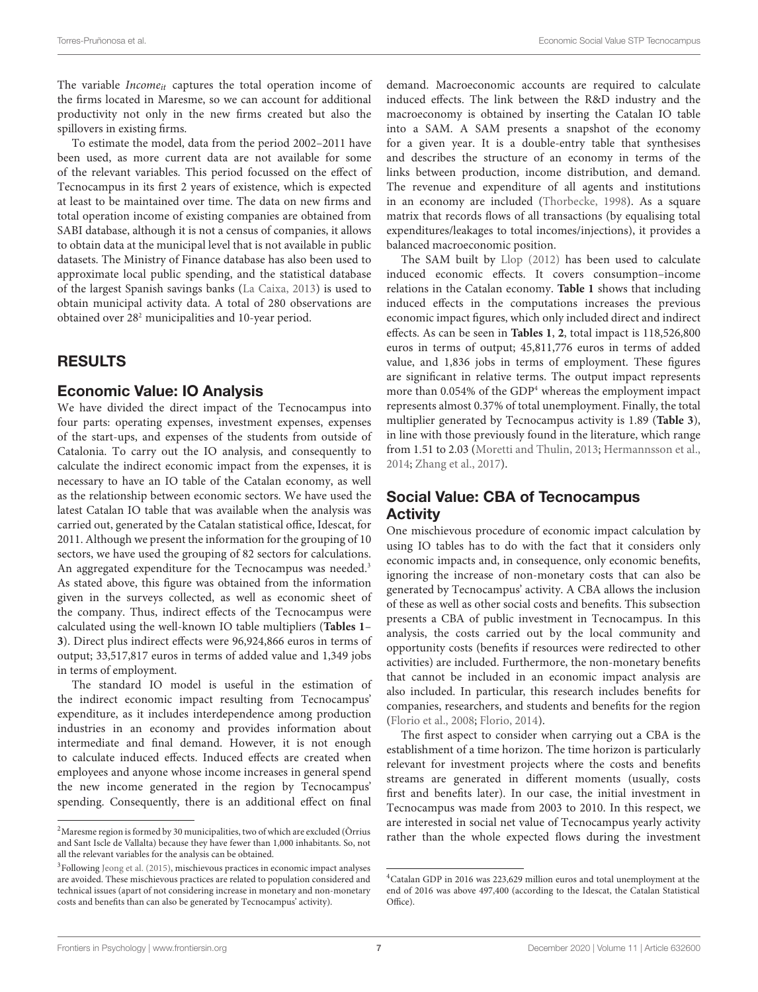The variable *Income*<sub>it</sub> captures the total operation income of the firms located in Maresme, so we can account for additional productivity not only in the new firms created but also the spillovers in existing firms.

To estimate the model, data from the period 2002–2011 have been used, as more current data are not available for some of the relevant variables. This period focussed on the effect of Tecnocampus in its first 2 years of existence, which is expected at least to be maintained over time. The data on new firms and total operation income of existing companies are obtained from SABI database, although it is not a census of companies, it allows to obtain data at the municipal level that is not available in public datasets. The Ministry of Finance database has also been used to approximate local public spending, and the statistical database of the largest Spanish savings banks [\(La Caixa,](#page-14-35) [2013\)](#page-14-35) is used to obtain municipal activity data. A total of 280 observations are obtained over 28[2](#page-6-0) municipalities and 10-year period.

### RESULTS

### Economic Value: IO Analysis

We have divided the direct impact of the Tecnocampus into four parts: operating expenses, investment expenses, expenses of the start-ups, and expenses of the students from outside of Catalonia. To carry out the IO analysis, and consequently to calculate the indirect economic impact from the expenses, it is necessary to have an IO table of the Catalan economy, as well as the relationship between economic sectors. We have used the latest Catalan IO table that was available when the analysis was carried out, generated by the Catalan statistical office, Idescat, for 2011. Although we present the information for the grouping of 10 sectors, we have used the grouping of 82 sectors for calculations. An aggregated expenditure for the Tecnocampus was needed.<sup>[3](#page-6-1)</sup> As stated above, this figure was obtained from the information given in the surveys collected, as well as economic sheet of the company. Thus, indirect effects of the Tecnocampus were calculated using the well-known IO table multipliers (**[Tables 1](#page-7-0)**– **[3](#page-7-1)**). Direct plus indirect effects were 96,924,866 euros in terms of output; 33,517,817 euros in terms of added value and 1,349 jobs in terms of employment.

The standard IO model is useful in the estimation of the indirect economic impact resulting from Tecnocampus' expenditure, as it includes interdependence among production industries in an economy and provides information about intermediate and final demand. However, it is not enough to calculate induced effects. Induced effects are created when employees and anyone whose income increases in general spend the new income generated in the region by Tecnocampus' spending. Consequently, there is an additional effect on final demand. Macroeconomic accounts are required to calculate induced effects. The link between the R&D industry and the macroeconomy is obtained by inserting the Catalan IO table into a SAM. A SAM presents a snapshot of the economy for a given year. It is a double-entry table that synthesises and describes the structure of an economy in terms of the links between production, income distribution, and demand. The revenue and expenditure of all agents and institutions in an economy are included [\(Thorbecke,](#page-15-11) [1998\)](#page-15-11). As a square matrix that records flows of all transactions (by equalising total expenditures/leakages to total incomes/injections), it provides a balanced macroeconomic position.

The SAM built by [Llop](#page-14-37) [\(2012\)](#page-14-37) has been used to calculate induced economic effects. It covers consumption–income relations in the Catalan economy. **[Table 1](#page-7-0)** shows that including induced effects in the computations increases the previous economic impact figures, which only included direct and indirect effects. As can be seen in **[Tables 1](#page-7-0)**, **[2](#page-7-2)**, total impact is 118,526,800 euros in terms of output; 45,811,776 euros in terms of added value, and 1,836 jobs in terms of employment. These figures are significant in relative terms. The output impact represents more than 0.05[4](#page-6-2)% of the GDP<sup>4</sup> whereas the employment impact represents almost 0.37% of total unemployment. Finally, the total multiplier generated by Tecnocampus activity is 1.89 (**[Table 3](#page-7-1)**), in line with those previously found in the literature, which range from 1.51 to 2.03 [\(Moretti and Thulin,](#page-14-33) [2013;](#page-14-33) [Hermannsson et al.,](#page-14-34) [2014;](#page-14-34) [Zhang et al.,](#page-15-10) [2017\)](#page-15-10).

## Social Value: CBA of Tecnocampus **Activity**

One mischievous procedure of economic impact calculation by using IO tables has to do with the fact that it considers only economic impacts and, in consequence, only economic benefits, ignoring the increase of non-monetary costs that can also be generated by Tecnocampus' activity. A CBA allows the inclusion of these as well as other social costs and benefits. This subsection presents a CBA of public investment in Tecnocampus. In this analysis, the costs carried out by the local community and opportunity costs (benefits if resources were redirected to other activities) are included. Furthermore, the non-monetary benefits that cannot be included in an economic impact analysis are also included. In particular, this research includes benefits for companies, researchers, and students and benefits for the region [\(Florio et al.,](#page-13-21) [2008;](#page-13-21) [Florio,](#page-13-35) [2014\)](#page-13-35).

The first aspect to consider when carrying out a CBA is the establishment of a time horizon. The time horizon is particularly relevant for investment projects where the costs and benefits streams are generated in different moments (usually, costs first and benefits later). In our case, the initial investment in Tecnocampus was made from 2003 to 2010. In this respect, we are interested in social net value of Tecnocampus yearly activity rather than the whole expected flows during the investment

<span id="page-6-0"></span><sup>&</sup>lt;sup>2</sup> Maresme region is formed by 30 municipalities, two of which are excluded (Òrrius and Sant Iscle de Vallalta) because they have fewer than 1,000 inhabitants. So, not all the relevant variables for the analysis can be obtained.

<span id="page-6-1"></span><sup>&</sup>lt;sup>3</sup>Following [Jeong et al.](#page-14-36) [\(2015\)](#page-14-36), mischievous practices in economic impact analyses are avoided. These mischievous practices are related to population considered and technical issues (apart of not considering increase in monetary and non-monetary costs and benefits than can also be generated by Tecnocampus' activity).

<span id="page-6-2"></span><sup>4</sup>Catalan GDP in 2016 was 223,629 million euros and total unemployment at the end of 2016 was above 497,400 (according to the Idescat, the Catalan Statistical Office).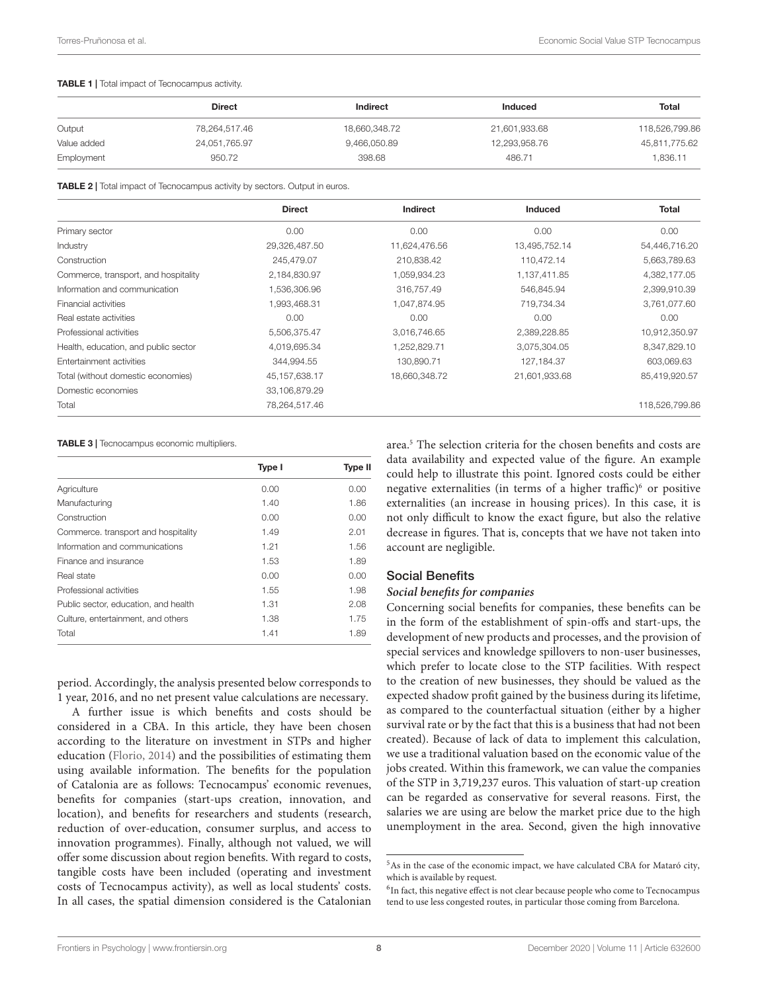#### <span id="page-7-0"></span>TABLE 1 | Total impact of Tecnocampus activity.

|             | <b>Direct</b> | Indirect      | Induced       | Total          |  |
|-------------|---------------|---------------|---------------|----------------|--|
| Output      | 78,264,517.46 | 18,660,348.72 | 21,601,933.68 | 118,526,799.86 |  |
| Value added | 24,051,765.97 | 9,466,050.89  | 12,293,958.76 | 45,811,775.62  |  |
| Employment  | 950.72        | 398.68        | 486.71        | 1,836.11       |  |

<span id="page-7-2"></span>TABLE 2 | Total impact of Tecnocampus activity by sectors. Output in euros.

|                                      | <b>Direct</b>    | Indirect      | <b>Induced</b> | <b>Total</b>   |
|--------------------------------------|------------------|---------------|----------------|----------------|
| Primary sector                       | 0.00             | 0.00          | 0.00           | 0.00           |
| Industry                             | 29,326,487.50    | 11,624,476.56 | 13,495,752.14  | 54,446,716.20  |
| Construction                         | 245.479.07       | 210,838.42    | 110.472.14     | 5,663,789.63   |
| Commerce, transport, and hospitality | 2,184,830.97     | 1,059,934.23  | 1,137,411.85   | 4,382,177.05   |
| Information and communication        | 1,536,306.96     | 316,757.49    | 546,845.94     | 2,399,910.39   |
| Financial activities                 | 1,993,468.31     | 1,047,874.95  | 719,734.34     | 3,761,077.60   |
| Real estate activities               | 0.00             | 0.00          | 0.00           | 0.00           |
| Professional activities              | 5,506,375.47     | 3.016.746.65  | 2,389,228.85   | 10,912,350.97  |
| Health, education, and public sector | 4,019,695.34     | 1,252,829.71  | 3,075,304.05   | 8,347,829.10   |
| Entertainment activities             | 344,994.55       | 130,890.71    | 127,184.37     | 603,069.63     |
| Total (without domestic economies)   | 45, 157, 638. 17 | 18,660,348.72 | 21,601,933.68  | 85,419,920.57  |
| Domestic economies                   | 33,106,879.29    |               |                |                |
| Total                                | 78,264,517.46    |               |                | 118,526,799.86 |

#### <span id="page-7-1"></span>TABLE 3 | Tecnocampus economic multipliers.

|                                      | Type I | <b>Type II</b> |
|--------------------------------------|--------|----------------|
| Agriculture                          | 0.00   | 0.00           |
| Manufacturing                        | 1.40   | 1.86           |
| Construction                         | 0.00   | 0.00           |
| Commerce. transport and hospitality  | 1.49   | 2.01           |
| Information and communications       | 1.21   | 1.56           |
| Finance and insurance                | 1.53   | 1.89           |
| Real state                           | 0.00   | 0.00           |
| Professional activities              | 1.55   | 1.98           |
| Public sector, education, and health | 1.31   | 2.08           |
| Culture, entertainment, and others   | 1.38   | 1.75           |
| Total                                | 1.41   | 1.89           |

period. Accordingly, the analysis presented below corresponds to 1 year, 2016, and no net present value calculations are necessary.

A further issue is which benefits and costs should be considered in a CBA. In this article, they have been chosen according to the literature on investment in STPs and higher education [\(Florio,](#page-13-35) [2014\)](#page-13-35) and the possibilities of estimating them using available information. The benefits for the population of Catalonia are as follows: Tecnocampus' economic revenues, benefits for companies (start-ups creation, innovation, and location), and benefits for researchers and students (research, reduction of over-education, consumer surplus, and access to innovation programmes). Finally, although not valued, we will offer some discussion about region benefits. With regard to costs, tangible costs have been included (operating and investment costs of Tecnocampus activity), as well as local students' costs. In all cases, the spatial dimension considered is the Catalonian

area.[5](#page-7-3) The selection criteria for the chosen benefits and costs are data availability and expected value of the figure. An example could help to illustrate this point. Ignored costs could be either negative externalities (in terms of a higher traffic) $6$  or positive externalities (an increase in housing prices). In this case, it is not only difficult to know the exact figure, but also the relative decrease in figures. That is, concepts that we have not taken into account are negligible.

### Social Benefits

### **Social benefits for companies**

Concerning social benefits for companies, these benefits can be in the form of the establishment of spin-offs and start-ups, the development of new products and processes, and the provision of special services and knowledge spillovers to non-user businesses, which prefer to locate close to the STP facilities. With respect to the creation of new businesses, they should be valued as the expected shadow profit gained by the business during its lifetime, as compared to the counterfactual situation (either by a higher survival rate or by the fact that this is a business that had not been created). Because of lack of data to implement this calculation, we use a traditional valuation based on the economic value of the jobs created. Within this framework, we can value the companies of the STP in 3,719,237 euros. This valuation of start-up creation can be regarded as conservative for several reasons. First, the salaries we are using are below the market price due to the high unemployment in the area. Second, given the high innovative

<span id="page-7-3"></span><sup>5</sup>As in the case of the economic impact, we have calculated CBA for Mataró city, which is available by request.

<span id="page-7-4"></span><sup>&</sup>lt;sup>6</sup>In fact, this negative effect is not clear because people who come to Tecnocampus tend to use less congested routes, in particular those coming from Barcelona.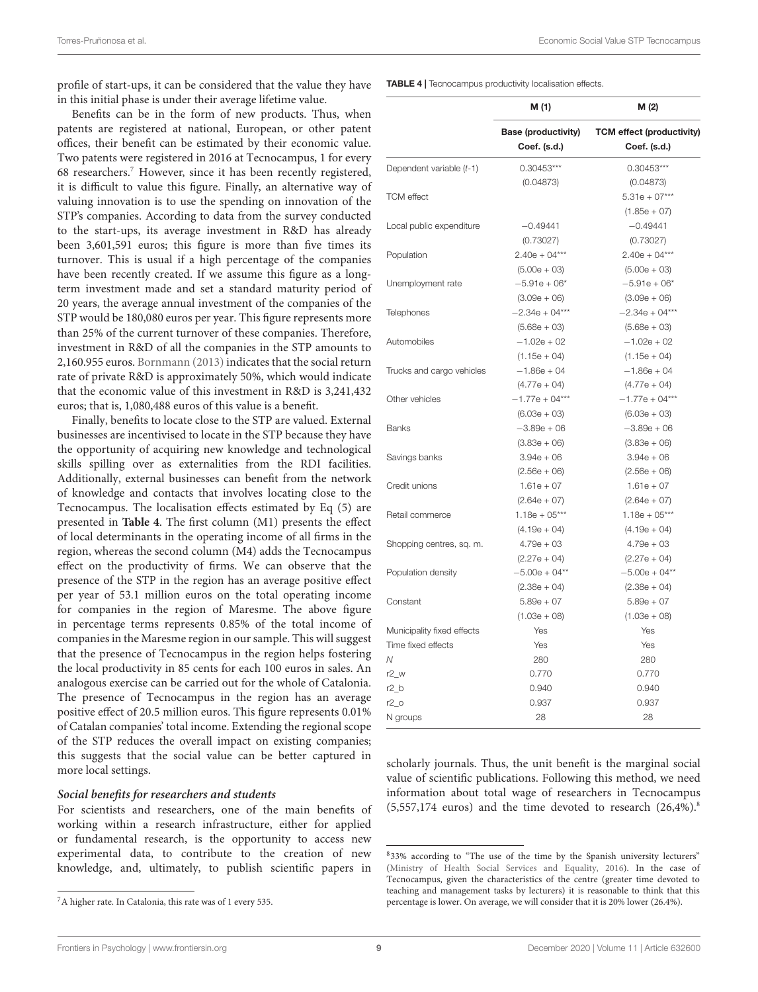Torres-Pruñonosa et al. Economic Social Value STP Tecnocampus

profile of start-ups, it can be considered that the value they have in this initial phase is under their average lifetime value.

Benefits can be in the form of new products. Thus, when patents are registered at national, European, or other patent offices, their benefit can be estimated by their economic value. Two patents were registered in 2016 at Tecnocampus, 1 for every 68 researchers.[7](#page-8-0) However, since it has been recently registered, it is difficult to value this figure. Finally, an alternative way of valuing innovation is to use the spending on innovation of the STP's companies. According to data from the survey conducted to the start-ups, its average investment in R&D has already been 3,601,591 euros; this figure is more than five times its turnover. This is usual if a high percentage of the companies have been recently created. If we assume this figure as a longterm investment made and set a standard maturity period of 20 years, the average annual investment of the companies of the STP would be 180,080 euros per year. This figure represents more than 25% of the current turnover of these companies. Therefore, investment in R&D of all the companies in the STP amounts to 2,160.955 euros. [Bornmann](#page-13-36) [\(2013\)](#page-13-36) indicates that the social return rate of private R&D is approximately 50%, which would indicate that the economic value of this investment in R&D is 3,241,432 euros; that is, 1,080,488 euros of this value is a benefit.

Finally, benefits to locate close to the STP are valued. External businesses are incentivised to locate in the STP because they have the opportunity of acquiring new knowledge and technological skills spilling over as externalities from the RDI facilities. Additionally, external businesses can benefit from the network of knowledge and contacts that involves locating close to the Tecnocampus. The localisation effects estimated by Eq (5) are presented in **[Table 4](#page-8-1)**. The first column (M1) presents the effect of local determinants in the operating income of all firms in the region, whereas the second column (M4) adds the Tecnocampus effect on the productivity of firms. We can observe that the presence of the STP in the region has an average positive effect per year of 53.1 million euros on the total operating income for companies in the region of Maresme. The above figure in percentage terms represents 0.85% of the total income of companies in the Maresme region in our sample. This will suggest that the presence of Tecnocampus in the region helps fostering the local productivity in 85 cents for each 100 euros in sales. An analogous exercise can be carried out for the whole of Catalonia. The presence of Tecnocampus in the region has an average positive effect of 20.5 million euros. This figure represents 0.01% of Catalan companies' total income. Extending the regional scope of the STP reduces the overall impact on existing companies; this suggests that the social value can be better captured in more local settings.

### **Social benefits for researchers and students**

For scientists and researchers, one of the main benefits of working within a research infrastructure, either for applied or fundamental research, is the opportunity to access new experimental data, to contribute to the creation of new knowledge, and, ultimately, to publish scientific papers in

<span id="page-8-1"></span>TABLE 4 | Tecnocampus productivity localisation effects.

|                            | M (1)                                      | M (2)                                            |
|----------------------------|--------------------------------------------|--------------------------------------------------|
|                            | <b>Base (productivity)</b><br>Coef. (s.d.) | <b>TCM</b> effect (productivity)<br>Coef. (s.d.) |
| Dependent variable (t-1)   | $0.30453***$                               | $0.30453***$                                     |
|                            | (0.04873)                                  | (0.04873)                                        |
| <b>TCM</b> effect          |                                            | $5.31e + 07***$                                  |
|                            |                                            | $(1.85e + 07)$                                   |
| Local public expenditure   | $-0.49441$                                 | $-0.49441$                                       |
|                            | (0.73027)                                  | (0.73027)                                        |
| Population                 | $2.40e + 04***$                            | $2.40e + 04***$                                  |
|                            | $(5.00e + 03)$                             | $(5.00e + 03)$                                   |
| Unemployment rate          | $-5.91e + 06*$                             | $-5.91e + 06*$                                   |
|                            | $(3.09e + 06)$                             | $(3.09e + 06)$                                   |
| Telephones                 | $-2.34e + 04***$                           | $-2.34e + 04***$                                 |
|                            | $(5.68e + 03)$                             | $(5.68e + 03)$                                   |
| Automobiles                | $-1.02e + 02$                              | $-1.02e + 02$                                    |
|                            | $(1.15e + 04)$                             | $(1.15e + 04)$                                   |
| Trucks and cargo vehicles  | $-1.86e + 04$                              | $-1.86e + 04$                                    |
|                            | $(4.77e + 04)$                             | $(4.77e + 04)$                                   |
| Other vehicles             | $-1.77e + 04***$                           | $-1.77e + 04***$                                 |
|                            | $(6.03e + 03)$                             | $(6.03e + 03)$                                   |
| <b>Banks</b>               | $-3.89e + 06$                              | $-3.89e + 06$                                    |
|                            | $(3.83e + 06)$                             | $(3.83e + 06)$                                   |
| Savings banks              | $3.94e + 06$                               | $3.94e + 06$                                     |
|                            | $(2.56e + 06)$                             | $(2.56e + 06)$                                   |
| Credit unions              | $1.61e + 07$                               | $1.61e + 07$                                     |
|                            | $(2.64e + 07)$                             | $(2.64e + 07)$                                   |
| Retail commerce            | $1.18e + 05***$                            | $1.18e + 05***$                                  |
|                            | $(4.19e + 04)$                             | $(4.19e + 04)$                                   |
| Shopping centres, sq. m.   | $4.79e + 03$                               | $4.79e + 03$                                     |
|                            | $(2.27e + 04)$                             | $(2.27e + 04)$                                   |
| Population density         | $-5.00e + 04**$                            | $-5.00e + 04**$                                  |
|                            | $(2.38e + 04)$                             | $(2.38e + 04)$                                   |
| Constant                   | $5.89e + 07$                               | $5.89e + 07$                                     |
|                            | $(1.03e + 08)$                             | $(1.03e + 08)$                                   |
| Municipality fixed effects | Yes                                        | Yes                                              |
| Time fixed effects         | Yes                                        | Yes                                              |
| Ν                          | 280                                        | 280                                              |
| $r2_w$                     | 0.770                                      | 0.770                                            |
| $r2_b$                     | 0.940                                      | 0.940                                            |
| $r2_0$                     | 0.937                                      | 0.937                                            |
|                            | 28                                         | 28                                               |
| N groups                   |                                            |                                                  |

scholarly journals. Thus, the unit benefit is the marginal social value of scientific publications. Following this method, we need information about total wage of researchers in Tecnocampus  $(5,557,174 \text{ euros})$  and the time devoted to research  $(26,4\%)$ .<sup>[8](#page-8-2)</sup>

<span id="page-8-0"></span><sup>7</sup>A higher rate. In Catalonia, this rate was of 1 every 535.

<span id="page-8-2"></span><sup>8</sup> 33% according to "The use of the time by the Spanish university lecturers" [\(Ministry of Health Social Services and Equality,](#page-14-38) [2016\)](#page-14-38). In the case of Tecnocampus, given the characteristics of the centre (greater time devoted to teaching and management tasks by lecturers) it is reasonable to think that this percentage is lower. On average, we will consider that it is 20% lower (26.4%).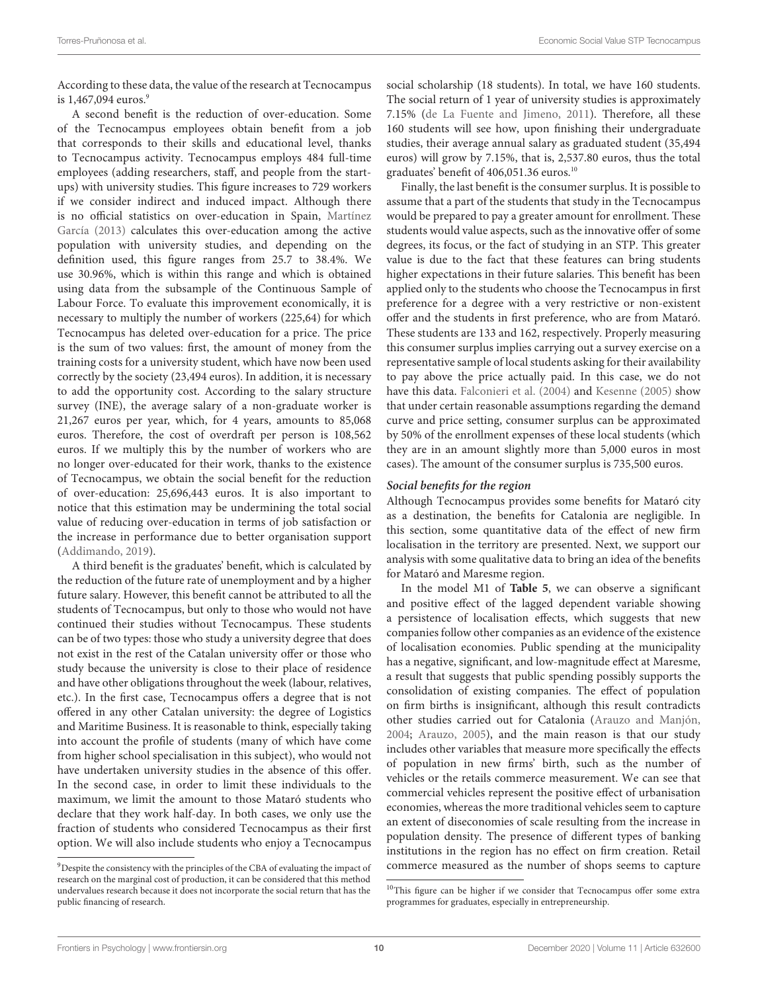According to these data, the value of the research at Tecnocampus is  $1,467,094$  $1,467,094$  $1,467,094$  euros.<sup>9</sup>

A second benefit is the reduction of over-education. Some of the Tecnocampus employees obtain benefit from a job that corresponds to their skills and educational level, thanks to Tecnocampus activity. Tecnocampus employs 484 full-time employees (adding researchers, staff, and people from the startups) with university studies. This figure increases to 729 workers if we consider indirect and induced impact. Although there is no official statistics on over-education in Spain, [Martínez](#page-14-39) [García](#page-14-39) [\(2013\)](#page-14-39) calculates this over-education among the active population with university studies, and depending on the definition used, this figure ranges from 25.7 to 38.4%. We use 30.96%, which is within this range and which is obtained using data from the subsample of the Continuous Sample of Labour Force. To evaluate this improvement economically, it is necessary to multiply the number of workers (225,64) for which Tecnocampus has deleted over-education for a price. The price is the sum of two values: first, the amount of money from the training costs for a university student, which have now been used correctly by the society (23,494 euros). In addition, it is necessary to add the opportunity cost. According to the salary structure survey (INE), the average salary of a non-graduate worker is 21,267 euros per year, which, for 4 years, amounts to 85,068 euros. Therefore, the cost of overdraft per person is 108,562 euros. If we multiply this by the number of workers who are no longer over-educated for their work, thanks to the existence of Tecnocampus, we obtain the social benefit for the reduction of over-education: 25,696,443 euros. It is also important to notice that this estimation may be undermining the total social value of reducing over-education in terms of job satisfaction or the increase in performance due to better organisation support [\(Addimando,](#page-13-37) [2019\)](#page-13-37).

A third benefit is the graduates' benefit, which is calculated by the reduction of the future rate of unemployment and by a higher future salary. However, this benefit cannot be attributed to all the students of Tecnocampus, but only to those who would not have continued their studies without Tecnocampus. These students can be of two types: those who study a university degree that does not exist in the rest of the Catalan university offer or those who study because the university is close to their place of residence and have other obligations throughout the week (labour, relatives, etc.). In the first case, Tecnocampus offers a degree that is not offered in any other Catalan university: the degree of Logistics and Maritime Business. It is reasonable to think, especially taking into account the profile of students (many of which have come from higher school specialisation in this subject), who would not have undertaken university studies in the absence of this offer. In the second case, in order to limit these individuals to the maximum, we limit the amount to those Mataró students who declare that they work half-day. In both cases, we only use the fraction of students who considered Tecnocampus as their first option. We will also include students who enjoy a Tecnocampus social scholarship (18 students). In total, we have 160 students. The social return of 1 year of university studies is approximately 7.15% [\(de La Fuente and Jimeno,](#page-13-33) [2011\)](#page-13-33). Therefore, all these 160 students will see how, upon finishing their undergraduate studies, their average annual salary as graduated student (35,494 euros) will grow by 7.15%, that is, 2,537.80 euros, thus the total graduates' benefit of 406,051.36 euros.<sup>[10](#page-9-1)</sup>

Finally, the last benefit is the consumer surplus. It is possible to assume that a part of the students that study in the Tecnocampus would be prepared to pay a greater amount for enrollment. These students would value aspects, such as the innovative offer of some degrees, its focus, or the fact of studying in an STP. This greater value is due to the fact that these features can bring students higher expectations in their future salaries. This benefit has been applied only to the students who choose the Tecnocampus in first preference for a degree with a very restrictive or non-existent offer and the students in first preference, who are from Mataró. These students are 133 and 162, respectively. Properly measuring this consumer surplus implies carrying out a survey exercise on a representative sample of local students asking for their availability to pay above the price actually paid. In this case, we do not have this data. [Falconieri et al.](#page-13-38) [\(2004\)](#page-13-38) and [Kesenne](#page-14-40) [\(2005\)](#page-14-40) show that under certain reasonable assumptions regarding the demand curve and price setting, consumer surplus can be approximated by 50% of the enrollment expenses of these local students (which they are in an amount slightly more than 5,000 euros in most cases). The amount of the consumer surplus is 735,500 euros.

### **Social benefits for the region**

Although Tecnocampus provides some benefits for Mataró city as a destination, the benefits for Catalonia are negligible. In this section, some quantitative data of the effect of new firm localisation in the territory are presented. Next, we support our analysis with some qualitative data to bring an idea of the benefits for Mataró and Maresme region.

In the model M1 of **[Table 5](#page-10-0)**, we can observe a significant and positive effect of the lagged dependent variable showing a persistence of localisation effects, which suggests that new companies follow other companies as an evidence of the existence of localisation economies. Public spending at the municipality has a negative, significant, and low-magnitude effect at Maresme, a result that suggests that public spending possibly supports the consolidation of existing companies. The effect of population on firm births is insignificant, although this result contradicts other studies carried out for Catalonia [\(Arauzo and Manjón,](#page-13-39) [2004;](#page-13-39) [Arauzo,](#page-13-40) [2005\)](#page-13-40), and the main reason is that our study includes other variables that measure more specifically the effects of population in new firms' birth, such as the number of vehicles or the retails commerce measurement. We can see that commercial vehicles represent the positive effect of urbanisation economies, whereas the more traditional vehicles seem to capture an extent of diseconomies of scale resulting from the increase in population density. The presence of different types of banking institutions in the region has no effect on firm creation. Retail commerce measured as the number of shops seems to capture

<span id="page-9-0"></span><sup>9</sup>Despite the consistency with the principles of the CBA of evaluating the impact of research on the marginal cost of production, it can be considered that this method undervalues research because it does not incorporate the social return that has the public financing of research.

<span id="page-9-1"></span><sup>&</sup>lt;sup>10</sup>This figure can be higher if we consider that Tecnocampus offer some extra programmes for graduates, especially in entrepreneurship.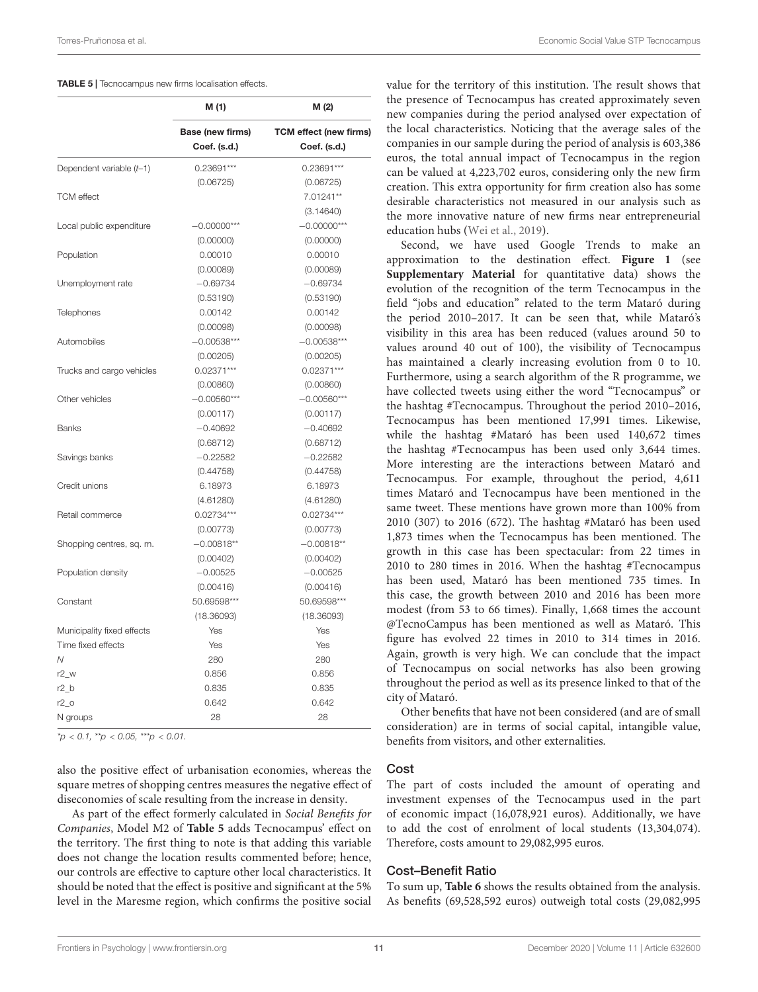<span id="page-10-0"></span>

|                            | M (1)                            | M (2)                                         |
|----------------------------|----------------------------------|-----------------------------------------------|
|                            | Base (new firms)<br>Coef. (s.d.) | <b>TCM</b> effect (new firms)<br>Coef. (s.d.) |
| Dependent variable (t-1)   | $0.23691***$                     | $0.23691***$                                  |
|                            | (0.06725)                        | (0.06725)                                     |
| <b>TCM</b> effect          |                                  | 7.01241**                                     |
|                            |                                  | (3.14640)                                     |
| Local public expenditure   | $-0.00000***$                    | $-0.00000***$                                 |
|                            | (0.00000)                        | (0.00000)                                     |
| Population                 | 0.00010                          | 0.00010                                       |
|                            | (0.00089)                        | (0.00089)                                     |
| Unemployment rate          | $-0.69734$                       | $-0.69734$                                    |
|                            | (0.53190)                        | (0.53190)                                     |
| Telephones                 | 0.00142                          | 0.00142                                       |
|                            | (0.00098)                        | (0.00098)                                     |
| Automobiles                | $-0.00538***$                    | $-0.00538***$                                 |
|                            | (0.00205)                        | (0.00205)                                     |
| Trucks and cargo vehicles  | $0.02371***$                     | $0.02371***$                                  |
|                            | (0.00860)                        | (0.00860)                                     |
| Other vehicles             | $-0.00560***$                    | $-0.00560***$                                 |
|                            | (0.00117)                        | (0.00117)                                     |
| <b>Banks</b>               | $-0.40692$                       | $-0.40692$                                    |
|                            | (0.68712)                        | (0.68712)                                     |
| Savings banks              | $-0.22582$                       | $-0.22582$                                    |
|                            | (0.44758)                        | (0.44758)                                     |
| Credit unions              | 6.18973                          | 6.18973                                       |
|                            | (4.61280)                        | (4.61280)                                     |
| Retail commerce            | $0.02734***$                     | $0.02734***$                                  |
|                            | (0.00773)                        | (0.00773)                                     |
| Shopping centres, sq. m.   | $-0.00818**$                     | $-0.00818**$                                  |
|                            | (0.00402)                        | (0.00402)                                     |
| Population density         | $-0.00525$                       | $-0.00525$                                    |
|                            | (0.00416)                        | (0.00416)                                     |
| Constant                   | 50.69598***                      | 50.69598***                                   |
|                            | (18.36093)                       | (18.36093)                                    |
| Municipality fixed effects | Yes                              | Yes                                           |
| Time fixed effects         | Yes                              | Yes                                           |
| N                          | 280                              | 280                                           |
| $r2_w$                     | 0.856                            | 0.856                                         |
| $r2_b$                     | 0.835                            | 0.835                                         |
| $r2_0$                     | 0.642                            | 0.642                                         |
| N groups                   | 28                               | 28                                            |

 $*p < 0.1$ ,  $**p < 0.05$ ,  $***p < 0.01$ .

also the positive effect of urbanisation economies, whereas the square metres of shopping centres measures the negative effect of diseconomies of scale resulting from the increase in density.

As part of the effect formerly calculated in Social Benefits for Companies, Model M2 of **[Table 5](#page-10-0)** adds Tecnocampus' effect on the territory. The first thing to note is that adding this variable does not change the location results commented before; hence, our controls are effective to capture other local characteristics. It should be noted that the effect is positive and significant at the 5% level in the Maresme region, which confirms the positive social

value for the territory of this institution. The result shows that the presence of Tecnocampus has created approximately seven new companies during the period analysed over expectation of the local characteristics. Noticing that the average sales of the companies in our sample during the period of analysis is 603,386 euros, the total annual impact of Tecnocampus in the region can be valued at 4,223,702 euros, considering only the new firm creation. This extra opportunity for firm creation also has some desirable characteristics not measured in our analysis such as the more innovative nature of new firms near entrepreneurial education hubs [\(Wei et al.,](#page-15-12) [2019\)](#page-15-12).

Second, we have used Google Trends to make an approximation to the destination effect. **[Figure 1](#page-11-0)** (see **[Supplementary Material](#page-13-41)** for quantitative data) shows the evolution of the recognition of the term Tecnocampus in the field "jobs and education" related to the term Mataró during the period 2010–2017. It can be seen that, while Mataró's visibility in this area has been reduced (values around 50 to values around 40 out of 100), the visibility of Tecnocampus has maintained a clearly increasing evolution from 0 to 10. Furthermore, using a search algorithm of the R programme, we have collected tweets using either the word "Tecnocampus" or the hashtag #Tecnocampus. Throughout the period 2010–2016, Tecnocampus has been mentioned 17,991 times. Likewise, while the hashtag #Mataró has been used 140,672 times the hashtag #Tecnocampus has been used only 3,644 times. More interesting are the interactions between Mataró and Tecnocampus. For example, throughout the period, 4,611 times Mataró and Tecnocampus have been mentioned in the same tweet. These mentions have grown more than 100% from 2010 (307) to 2016 (672). The hashtag #Mataró has been used 1,873 times when the Tecnocampus has been mentioned. The growth in this case has been spectacular: from 22 times in 2010 to 280 times in 2016. When the hashtag #Tecnocampus has been used, Mataró has been mentioned 735 times. In this case, the growth between 2010 and 2016 has been more modest (from 53 to 66 times). Finally, 1,668 times the account @TecnoCampus has been mentioned as well as Mataró. This figure has evolved 22 times in 2010 to 314 times in 2016. Again, growth is very high. We can conclude that the impact of Tecnocampus on social networks has also been growing throughout the period as well as its presence linked to that of the city of Mataró.

Other benefits that have not been considered (and are of small consideration) are in terms of social capital, intangible value, benefits from visitors, and other externalities.

### Cost

The part of costs included the amount of operating and investment expenses of the Tecnocampus used in the part of economic impact (16,078,921 euros). Additionally, we have to add the cost of enrolment of local students (13,304,074). Therefore, costs amount to 29,082,995 euros.

### Cost–Benefit Ratio

To sum up, **[Table 6](#page-11-1)** shows the results obtained from the analysis. As benefits (69,528,592 euros) outweigh total costs (29,082,995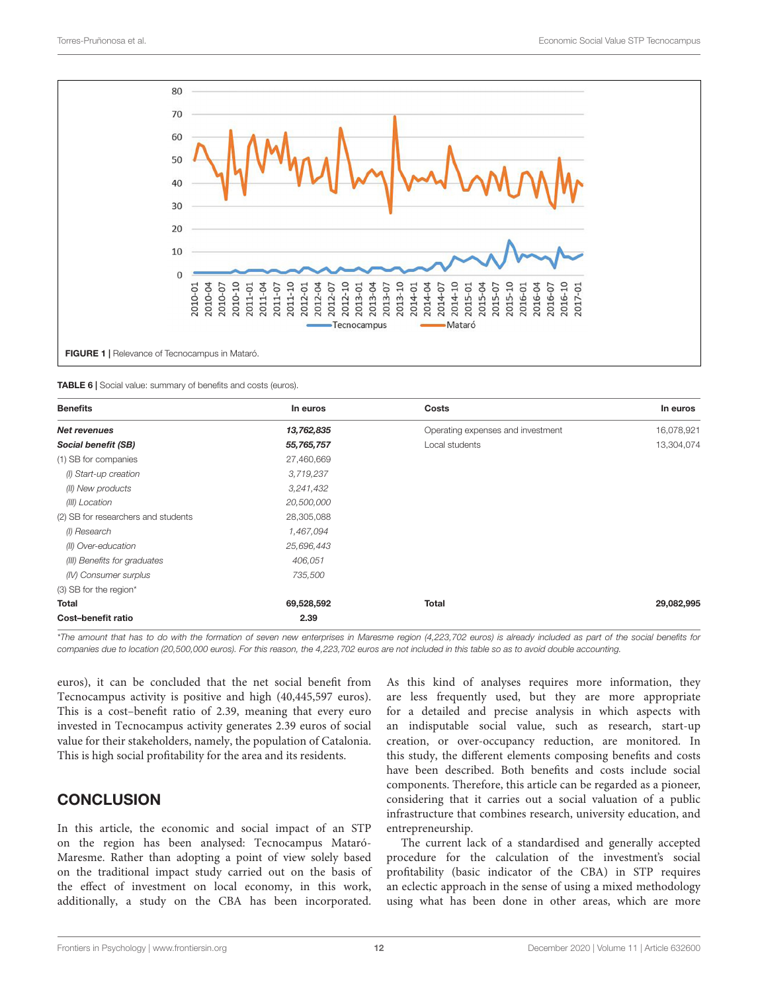

<span id="page-11-1"></span><span id="page-11-0"></span>TABLE 6 | Social value: summary of benefits and costs (euros).

| <b>Benefits</b>                     | In euros   | Costs                             | In euros   |
|-------------------------------------|------------|-----------------------------------|------------|
| <b>Net revenues</b>                 | 13,762,835 | Operating expenses and investment | 16,078,921 |
| Social benefit (SB)                 | 55,765,757 | Local students                    | 13,304,074 |
| (1) SB for companies                | 27,460,669 |                                   |            |
| (I) Start-up creation               | 3,719,237  |                                   |            |
| (II) New products                   | 3,241,432  |                                   |            |
| (III) Location                      | 20,500,000 |                                   |            |
| (2) SB for researchers and students | 28,305,088 |                                   |            |
| (I) Research                        | 1,467,094  |                                   |            |
| (II) Over-education                 | 25,696,443 |                                   |            |
| (III) Benefits for graduates        | 406,051    |                                   |            |
| (IV) Consumer surplus               | 735,500    |                                   |            |
| (3) SB for the region*              |            |                                   |            |
| Total                               | 69,528,592 | <b>Total</b>                      | 29,082,995 |
| Cost-benefit ratio                  | 2.39       |                                   |            |

\*The amount that has to do with the formation of seven new enterprises in Maresme region (4,223,702 euros) is already included as part of the social benefits for companies due to location (20,500,000 euros). For this reason, the 4,223,702 euros are not included in this table so as to avoid double accounting.

euros), it can be concluded that the net social benefit from Tecnocampus activity is positive and high (40,445,597 euros). This is a cost–benefit ratio of 2.39, meaning that every euro invested in Tecnocampus activity generates 2.39 euros of social value for their stakeholders, namely, the population of Catalonia. This is high social profitability for the area and its residents.

## **CONCLUSION**

In this article, the economic and social impact of an STP on the region has been analysed: Tecnocampus Mataró-Maresme. Rather than adopting a point of view solely based on the traditional impact study carried out on the basis of the effect of investment on local economy, in this work, additionally, a study on the CBA has been incorporated.

As this kind of analyses requires more information, they are less frequently used, but they are more appropriate for a detailed and precise analysis in which aspects with an indisputable social value, such as research, start-up creation, or over-occupancy reduction, are monitored. In this study, the different elements composing benefits and costs have been described. Both benefits and costs include social components. Therefore, this article can be regarded as a pioneer, considering that it carries out a social valuation of a public infrastructure that combines research, university education, and entrepreneurship.

The current lack of a standardised and generally accepted procedure for the calculation of the investment's social profitability (basic indicator of the CBA) in STP requires an eclectic approach in the sense of using a mixed methodology using what has been done in other areas, which are more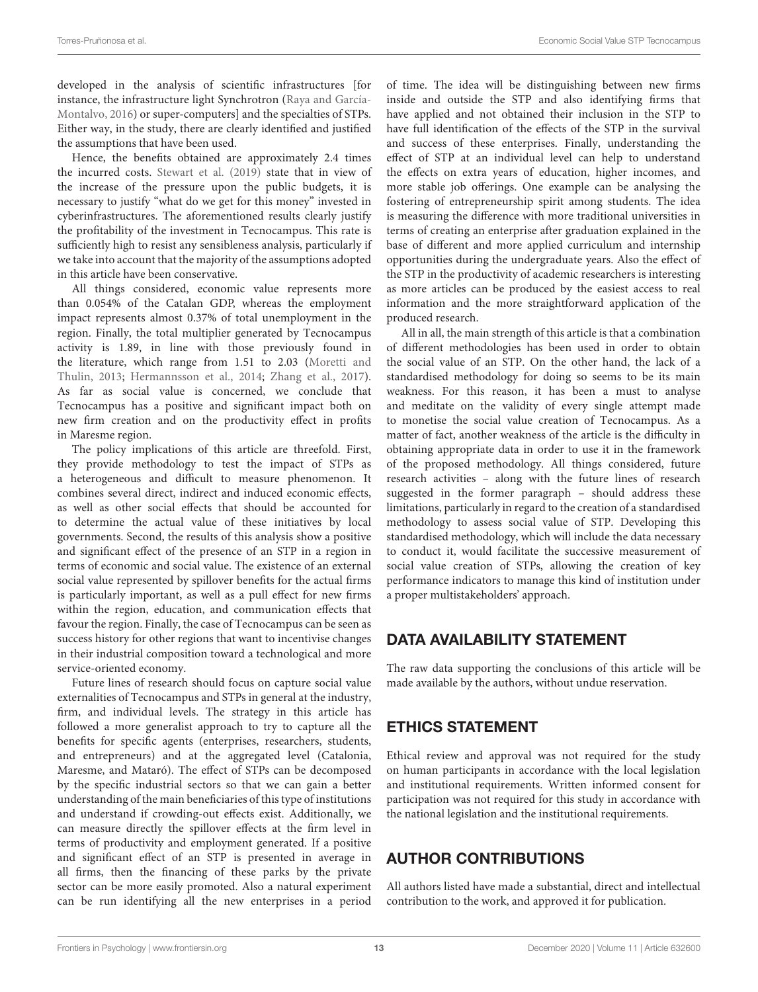developed in the analysis of scientific infrastructures [for instance, the infrastructure light Synchrotron [\(Raya and García-](#page-14-23)[Montalvo,](#page-14-23) [2016\)](#page-14-23) or super-computers] and the specialties of STPs. Either way, in the study, there are clearly identified and justified the assumptions that have been used.

Hence, the benefits obtained are approximately 2.4 times the incurred costs. [Stewart et al.](#page-15-13) [\(2019\)](#page-15-13) state that in view of the increase of the pressure upon the public budgets, it is necessary to justify "what do we get for this money" invested in cyberinfrastructures. The aforementioned results clearly justify the profitability of the investment in Tecnocampus. This rate is sufficiently high to resist any sensibleness analysis, particularly if we take into account that the majority of the assumptions adopted in this article have been conservative.

All things considered, economic value represents more than 0.054% of the Catalan GDP, whereas the employment impact represents almost 0.37% of total unemployment in the region. Finally, the total multiplier generated by Tecnocampus activity is 1.89, in line with those previously found in the literature, which range from 1.51 to 2.03 [\(Moretti and](#page-14-33) [Thulin,](#page-14-33) [2013;](#page-14-33) [Hermannsson et al.,](#page-14-34) [2014;](#page-14-34) [Zhang et al.,](#page-15-10) [2017\)](#page-15-10). As far as social value is concerned, we conclude that Tecnocampus has a positive and significant impact both on new firm creation and on the productivity effect in profits in Maresme region.

The policy implications of this article are threefold. First, they provide methodology to test the impact of STPs as a heterogeneous and difficult to measure phenomenon. It combines several direct, indirect and induced economic effects, as well as other social effects that should be accounted for to determine the actual value of these initiatives by local governments. Second, the results of this analysis show a positive and significant effect of the presence of an STP in a region in terms of economic and social value. The existence of an external social value represented by spillover benefits for the actual firms is particularly important, as well as a pull effect for new firms within the region, education, and communication effects that favour the region. Finally, the case of Tecnocampus can be seen as success history for other regions that want to incentivise changes in their industrial composition toward a technological and more service-oriented economy.

Future lines of research should focus on capture social value externalities of Tecnocampus and STPs in general at the industry, firm, and individual levels. The strategy in this article has followed a more generalist approach to try to capture all the benefits for specific agents (enterprises, researchers, students, and entrepreneurs) and at the aggregated level (Catalonia, Maresme, and Mataró). The effect of STPs can be decomposed by the specific industrial sectors so that we can gain a better understanding of the main beneficiaries of this type of institutions and understand if crowding-out effects exist. Additionally, we can measure directly the spillover effects at the firm level in terms of productivity and employment generated. If a positive and significant effect of an STP is presented in average in all firms, then the financing of these parks by the private sector can be more easily promoted. Also a natural experiment can be run identifying all the new enterprises in a period

of time. The idea will be distinguishing between new firms inside and outside the STP and also identifying firms that have applied and not obtained their inclusion in the STP to have full identification of the effects of the STP in the survival and success of these enterprises. Finally, understanding the effect of STP at an individual level can help to understand the effects on extra years of education, higher incomes, and more stable job offerings. One example can be analysing the fostering of entrepreneurship spirit among students. The idea is measuring the difference with more traditional universities in terms of creating an enterprise after graduation explained in the base of different and more applied curriculum and internship opportunities during the undergraduate years. Also the effect of the STP in the productivity of academic researchers is interesting as more articles can be produced by the easiest access to real information and the more straightforward application of the produced research.

All in all, the main strength of this article is that a combination of different methodologies has been used in order to obtain the social value of an STP. On the other hand, the lack of a standardised methodology for doing so seems to be its main weakness. For this reason, it has been a must to analyse and meditate on the validity of every single attempt made to monetise the social value creation of Tecnocampus. As a matter of fact, another weakness of the article is the difficulty in obtaining appropriate data in order to use it in the framework of the proposed methodology. All things considered, future research activities – along with the future lines of research suggested in the former paragraph – should address these limitations, particularly in regard to the creation of a standardised methodology to assess social value of STP. Developing this standardised methodology, which will include the data necessary to conduct it, would facilitate the successive measurement of social value creation of STPs, allowing the creation of key performance indicators to manage this kind of institution under a proper multistakeholders' approach.

## DATA AVAILABILITY STATEMENT

The raw data supporting the conclusions of this article will be made available by the authors, without undue reservation.

## ETHICS STATEMENT

Ethical review and approval was not required for the study on human participants in accordance with the local legislation and institutional requirements. Written informed consent for participation was not required for this study in accordance with the national legislation and the institutional requirements.

## AUTHOR CONTRIBUTIONS

All authors listed have made a substantial, direct and intellectual contribution to the work, and approved it for publication.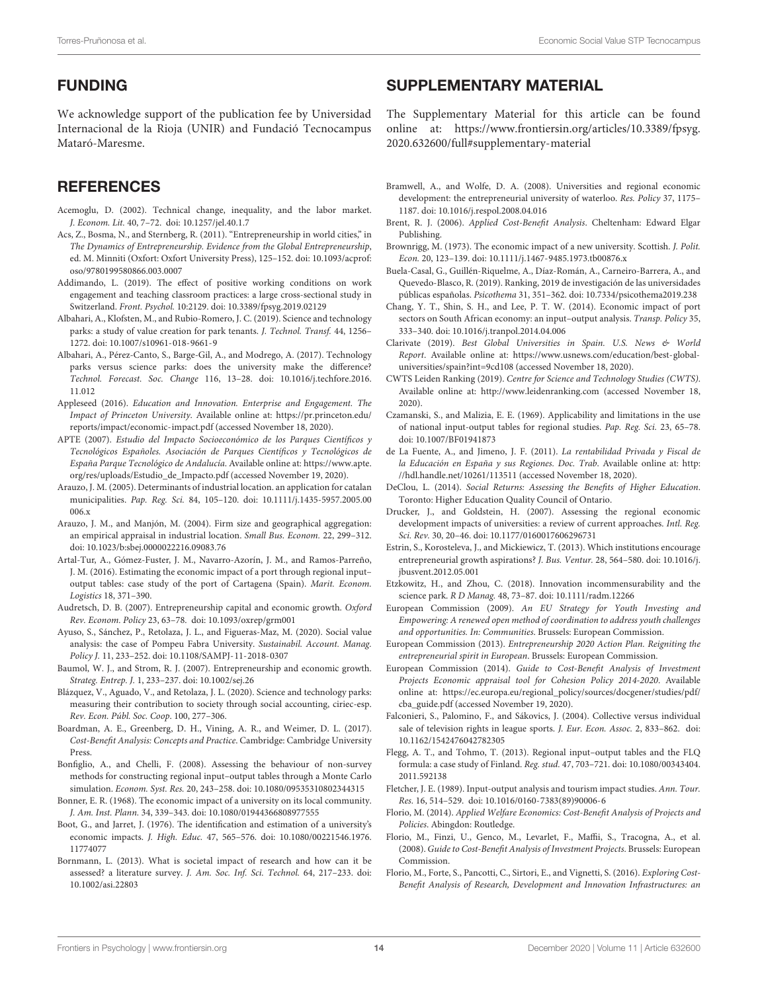## FUNDING

We acknowledge support of the publication fee by Universidad Internacional de la Rioja (UNIR) and Fundació Tecnocampus Mataró-Maresme.

## **REFERENCES**

- <span id="page-13-0"></span>Acemoglu, D. (2002). Technical change, inequality, and the labor market. J. Econom. Lit. 40, 7–72. [doi: 10.1257/jel.40.1.7](https://doi.org/10.1257/jel.40.1.7)
- <span id="page-13-2"></span>Acs, Z., Bosma, N., and Sternberg, R. (2011). "Entrepreneurship in world cities," in The Dynamics of Entrepreneurship. Evidence from the Global Entrepreneurship, ed. M. Minniti (Oxfort: Oxfort University Press), 125–152. [doi: 10.1093/acprof:](https://doi.org/10.1093/acprof:oso/9780199580866.003.0007) [oso/9780199580866.003.0007](https://doi.org/10.1093/acprof:oso/9780199580866.003.0007)
- <span id="page-13-37"></span>Addimando, L. (2019). The effect of positive working conditions on work engagement and teaching classroom practices: a large cross-sectional study in Switzerland. Front. Psychol. 10:2129. [doi: 10.3389/fpsyg.2019.02129](https://doi.org/10.3389/fpsyg.2019.02129)
- <span id="page-13-10"></span>Albahari, A., Klofsten, M., and Rubio-Romero, J. C. (2019). Science and technology parks: a study of value creation for park tenants. J. Technol. Transf. 44, 1256– 1272. [doi: 10.1007/s10961-018-9661-9](https://doi.org/10.1007/s10961-018-9661-9)
- <span id="page-13-19"></span>Albahari, A., Pérez-Canto, S., Barge-Gil, A., and Modrego, A. (2017). Technology parks versus science parks: does the university make the difference? Technol. Forecast. Soc. Change 116, 13–28. [doi: 10.1016/j.techfore.2016.](https://doi.org/10.1016/j.techfore.2016.11.012) [11.012](https://doi.org/10.1016/j.techfore.2016.11.012)
- <span id="page-13-23"></span>Appleseed (2016). Education and Innovation. Enterprise and Engagement. The Impact of Princeton University. Available online at: [https://pr.princeton.edu/](https://pr.princeton.edu/reports/impact/economic-impact.pdf) [reports/impact/economic-impact.pdf](https://pr.princeton.edu/reports/impact/economic-impact.pdf) (accessed November 18, 2020).
- <span id="page-13-6"></span>APTE (2007). Estudio del Impacto Socioeconómico de los Parques Científicos y Tecnológicos Españoles. Asociación de Parques Científicos y Tecnológicos de España Parque Tecnológico de Andalucía. Available online at: [https://www.apte.](https://www.apte.org/res/uploads/Estudio_de_Impacto.pdf) [org/res/uploads/Estudio\\_de\\_Impacto.pdf](https://www.apte.org/res/uploads/Estudio_de_Impacto.pdf) (accessed November 19, 2020).
- <span id="page-13-40"></span>Arauzo, J. M. (2005). Determinants of industrial location. an application for catalan municipalities. Pap. Reg. Sci. 84, 105–120. [doi: 10.1111/j.1435-5957.2005.00](https://doi.org/10.1111/j.1435-5957.2005.00006.x) [006.x](https://doi.org/10.1111/j.1435-5957.2005.00006.x)
- <span id="page-13-39"></span>Arauzo, J. M., and Manjón, M. (2004). Firm size and geographical aggregation: an empirical appraisal in industrial location. Small Bus. Econom. 22, 299–312. [doi: 10.1023/b:sbej.0000022216.09083.76](https://doi.org/10.1023/b:sbej.0000022216.09083.76)
- <span id="page-13-28"></span>Artal-Tur, A., Gómez-Fuster, J. M., Navarro-Azorín, J. M., and Ramos-Parreño, J. M. (2016). Estimating the economic impact of a port through regional input– output tables: case study of the port of Cartagena (Spain). Marit. Econom. Logistics 18, 371–390.
- <span id="page-13-25"></span>Audretsch, D. B. (2007). Entrepreneurship capital and economic growth. Oxford Rev. Econom. Policy 23, 63–78. [doi: 10.1093/oxrep/grm001](https://doi.org/10.1093/oxrep/grm001)
- <span id="page-13-18"></span>Ayuso, S., Sánchez, P., Retolaza, J. L., and Figueras-Maz, M. (2020). Social value analysis: the case of Pompeu Fabra University. Sustainabil. Account. Manag. Policy J. 11, 233–252. [doi: 10.1108/SAMPJ-11-2018-0307](https://doi.org/10.1108/SAMPJ-11-2018-0307)
- <span id="page-13-1"></span>Baumol, W. J., and Strom, R. J. (2007). Entrepreneurship and economic growth. Strateg. Entrep. J. 1, 233–237. [doi: 10.1002/sej.26](https://doi.org/10.1002/sej.26)
- <span id="page-13-11"></span>Blázquez, V., Aguado, V., and Retolaza, J. L. (2020). Science and technology parks: measuring their contribution to society through social accounting, ciriec-esp. Rev. Econ. Públ. Soc. Coop. 100, 277–306.
- <span id="page-13-32"></span>Boardman, A. E., Greenberg, D. H., Vining, A. R., and Weimer, D. L. (2017). Cost-Benefit Analysis: Concepts and Practice. Cambridge: Cambridge University Press.
- <span id="page-13-29"></span>Bonfiglio, A., and Chelli, F. (2008). Assessing the behaviour of non-survey methods for constructing regional input–output tables through a Monte Carlo simulation. Econom. Syst. Res. 20, 243–258. [doi: 10.1080/09535310802344315](https://doi.org/10.1080/09535310802344315)
- <span id="page-13-12"></span>Bonner, E. R. (1968). The economic impact of a university on its local community. J. Am. Inst. Plann. 34, 339–343. [doi: 10.1080/01944366808977555](https://doi.org/10.1080/01944366808977555)
- <span id="page-13-14"></span>Boot, G., and Jarret, J. (1976). The identification and estimation of a university's economic impacts. J. High. Educ. 47, 565–576. [doi: 10.1080/00221546.1976.](https://doi.org/10.1080/00221546.1976.11774077) [11774077](https://doi.org/10.1080/00221546.1976.11774077)
- <span id="page-13-36"></span>Bornmann, L. (2013). What is societal impact of research and how can it be assessed? a literature survey. J. Am. Soc. Inf. Sci. Technol. 64, 217–233. [doi:](https://doi.org/10.1002/asi.22803) [10.1002/asi.22803](https://doi.org/10.1002/asi.22803)

### <span id="page-13-41"></span>SUPPLEMENTARY MATERIAL

The Supplementary Material for this article can be found online at: [https://www.frontiersin.org/articles/10.3389/fpsyg.](https://www.frontiersin.org/articles/10.3389/fpsyg.2020.632600/full#supplementary-material) [2020.632600/full#supplementary-material](https://www.frontiersin.org/articles/10.3389/fpsyg.2020.632600/full#supplementary-material)

- <span id="page-13-15"></span>Bramwell, A., and Wolfe, D. A. (2008). Universities and regional economic development: the entrepreneurial university of waterloo. Res. Policy 37, 1175– 1187. [doi: 10.1016/j.respol.2008.04.016](https://doi.org/10.1016/j.respol.2008.04.016)
- <span id="page-13-31"></span>Brent, R. J. (2006). Applied Cost-Benefit Analysis. Cheltenham: Edward Elgar Publishing.
- <span id="page-13-13"></span>Brownrigg, M. (1973). The economic impact of a new university. Scottish. J. Polit. Econ. 20, 123–139. [doi: 10.1111/j.1467-9485.1973.tb00876.x](https://doi.org/10.1111/j.1467-9485.1973.tb00876.x)
- <span id="page-13-7"></span>Buela-Casal, G., Guillén-Riquelme, A., Díaz-Román, A., Carneiro-Barrera, A., and Quevedo-Blasco, R. (2019). Ranking, 2019 de investigación de las universidades públicas españolas. Psicothema 31, 351–362. [doi: 10.7334/psicothema2019.238](https://doi.org/10.7334/psicothema2019.238)
- <span id="page-13-27"></span>Chang, Y. T., Shin, S. H., and Lee, P. T. W. (2014). Economic impact of port sectors on South African economy: an input–output analysis. Transp. Policy 35, 333–340. [doi: 10.1016/j.tranpol.2014.04.006](https://doi.org/10.1016/j.tranpol.2014.04.006)
- <span id="page-13-8"></span>Clarivate (2019). Best Global Universities in Spain. U.S. News & World Report. Available online at: [https://www.usnews.com/education/best-global](https://www.usnews.com/education/best-global-universities/spain?int=9cd108)[universities/spain?int=9cd108](https://www.usnews.com/education/best-global-universities/spain?int=9cd108) (accessed November 18, 2020).
- <span id="page-13-9"></span>CWTS Leiden Ranking (2019). Centre for Science and Technology Studies (CWTS). Available online at: <http://www.leidenranking.com> (accessed November 18, 2020).
- <span id="page-13-34"></span>Czamanski, S., and Malizia, E. E. (1969). Applicability and limitations in the use of national input-output tables for regional studies. Pap. Reg. Sci. 23, 65–78. [doi: 10.1007/BF01941873](https://doi.org/10.1007/BF01941873)
- <span id="page-13-33"></span>de La Fuente, A., and Jimeno, J. F. (2011). La rentabilidad Privada y Fiscal de la Educación en España y sus Regiones. Doc. Trab. Available online at: [http:](http://hdl.handle.net/10261/113511) [//hdl.handle.net/10261/113511](http://hdl.handle.net/10261/113511) (accessed November 18, 2020).
- <span id="page-13-17"></span>DeClou, L. (2014). Social Returns: Assessing the Benefits of Higher Education. Toronto: Higher Education Quality Council of Ontario.
- <span id="page-13-16"></span>Drucker, J., and Goldstein, H. (2007). Assessing the regional economic development impacts of universities: a review of current approaches. Intl. Reg. Sci. Rev. 30, 20–46. [doi: 10.1177/0160017606296731](https://doi.org/10.1177/0160017606296731)
- <span id="page-13-3"></span>Estrin, S., Korosteleva, J., and Mickiewicz, T. (2013). Which institutions encourage entrepreneurial growth aspirations? J. Bus. Ventur. 28, 564–580. [doi: 10.1016/j.](https://doi.org/10.1016/j.jbusvent.2012.05.001) [jbusvent.2012.05.001](https://doi.org/10.1016/j.jbusvent.2012.05.001)
- <span id="page-13-24"></span>Etzkowitz, H., and Zhou, C. (2018). Innovation incommensurability and the science park. R D Manag. 48, 73–87. [doi: 10.1111/radm.12266](https://doi.org/10.1111/radm.12266)
- <span id="page-13-4"></span>European Commission (2009). An EU Strategy for Youth Investing and Empowering: A renewed open method of coordination to address youth challenges and opportunities. In: Communities. Brussels: European Commission.
- <span id="page-13-5"></span>European Commission (2013). Entrepreneurship 2020 Action Plan. Reigniting the entrepreneurial spirit in European. Brussels: European Commission.
- <span id="page-13-20"></span>European Commission (2014). Guide to Cost-Benefit Analysis of Investment Projects Economic appraisal tool for Cohesion Policy 2014-2020. Available online at: [https://ec.europa.eu/regional\\_policy/sources/docgener/studies/pdf/](https://ec.europa.eu/regional_policy/sources/docgener/studies/pdf/cba_guide.pdf) [cba\\_guide.pdf](https://ec.europa.eu/regional_policy/sources/docgener/studies/pdf/cba_guide.pdf) (accessed November 19, 2020).
- <span id="page-13-38"></span>Falconieri, S., Palomino, F., and Sákovics, J. (2004). Collective versus individual sale of television rights in league sports. J. Eur. Econ. Assoc. 2, 833–862. [doi:](https://doi.org/10.1162/1542476042782305) [10.1162/1542476042782305](https://doi.org/10.1162/1542476042782305)
- <span id="page-13-30"></span>Flegg, A. T., and Tohmo, T. (2013). Regional input–output tables and the FLQ formula: a case study of Finland. Reg. stud. 47, 703–721. [doi: 10.1080/00343404.](https://doi.org/10.1080/00343404.2011.592138) [2011.592138](https://doi.org/10.1080/00343404.2011.592138)
- <span id="page-13-26"></span>Fletcher, J. E. (1989). Input-output analysis and tourism impact studies. Ann. Tour. Res. 16, 514–529. [doi: 10.1016/0160-7383\(89\)90006-6](https://doi.org/10.1016/0160-7383(89)90006-6)
- <span id="page-13-35"></span>Florio, M. (2014). Applied Welfare Economics: Cost-Benefit Analysis of Projects and Policies. Abingdon: Routledge.
- <span id="page-13-21"></span>Florio, M., Finzi, U., Genco, M., Levarlet, F., Maffii, S., Tracogna, A., et al. (2008). Guide to Cost-Benefit Analysis of Investment Projects. Brussels: European Commission.
- <span id="page-13-22"></span>Florio, M., Forte, S., Pancotti, C., Sirtori, E., and Vignetti, S. (2016). Exploring Cost-Benefit Analysis of Research, Development and Innovation Infrastructures: an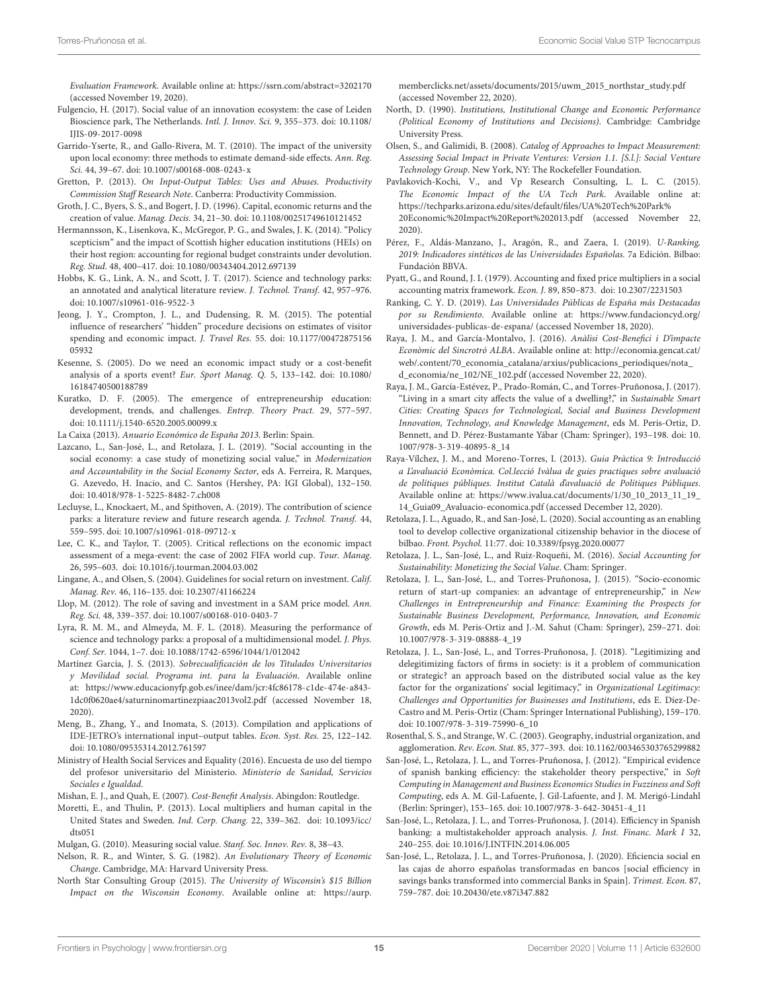Evaluation Framework. Available online at: <https://ssrn.com/abstract=3202170> (accessed November 19, 2020).

- <span id="page-14-18"></span>Fulgencio, H. (2017). Social value of an innovation ecosystem: the case of Leiden Bioscience park, The Netherlands. Intl. J. Innov. Sci. 9, 355–373. [doi: 10.1108/](https://doi.org/10.1108/IJIS-09-2017-0098) [IJIS-09-2017-0098](https://doi.org/10.1108/IJIS-09-2017-0098)
- <span id="page-14-20"></span>Garrido-Yserte, R., and Gallo-Rivera, M. T. (2010). The impact of the university upon local economy: three methods to estimate demand-side effects. Ann. Reg. Sci. 44, 39–67. [doi: 10.1007/s00168-008-0243-x](https://doi.org/10.1007/s00168-008-0243-x)
- <span id="page-14-28"></span>Gretton, P. (2013). On Input-Output Tables: Uses and Abuses. Productivity Commission Staff Research Note. Canberra: Productivity Commission.
- <span id="page-14-5"></span>Groth, J. C., Byers, S. S., and Bogert, J. D. (1996). Capital, economic returns and the creation of value. Manag. Decis. 34, 21–30. [doi: 10.1108/00251749610121452](https://doi.org/10.1108/00251749610121452)
- <span id="page-14-34"></span>Hermannsson, K., Lisenkova, K., McGregor, P. G., and Swales, J. K. (2014). "Policy scepticism" and the impact of Scottish higher education institutions (HEIs) on their host region: accounting for regional budget constraints under devolution. Reg. Stud. 48, 400–417. [doi: 10.1080/00343404.2012.697139](https://doi.org/10.1080/00343404.2012.697139)
- <span id="page-14-2"></span>Hobbs, K. G., Link, A. N., and Scott, J. T. (2017). Science and technology parks: an annotated and analytical literature review. J. Technol. Transf. 42, 957–976. [doi: 10.1007/s10961-016-9522-3](https://doi.org/10.1007/s10961-016-9522-3)
- <span id="page-14-36"></span>Jeong, J. Y., Crompton, J. L., and Dudensing, R. M. (2015). The potential influence of researchers' "hidden" procedure decisions on estimates of visitor spending and economic impact. J. Travel Res. 55. [doi: 10.1177/00472875156](https://doi.org/10.1177/0047287515605932) [05932](https://doi.org/10.1177/0047287515605932)
- <span id="page-14-40"></span>Kesenne, S. (2005). Do we need an economic impact study or a cost-benefit analysis of a sports event? Eur. Sport Manag. Q. 5, 133–142. [doi: 10.1080/](https://doi.org/10.1080/16184740500188789) [16184740500188789](https://doi.org/10.1080/16184740500188789)
- <span id="page-14-1"></span>Kuratko, D. F. (2005). The emergence of entrepreneurship education: development, trends, and challenges. Entrep. Theory Pract. 29, 577–597. [doi: 10.1111/j.1540-6520.2005.00099.x](https://doi.org/10.1111/j.1540-6520.2005.00099.x)

<span id="page-14-35"></span>La Caixa (2013). Anuario Económico de España 2013. Berlin: Spain.

- <span id="page-14-16"></span>Lazcano, L., San-José, L., and Retolaza, J. L. (2019). "Social accounting in the social economy: a case study of monetizing social value," in Modernization and Accountability in the Social Economy Sector, eds A. Ferreira, R. Marques, G. Azevedo, H. Inacio, and C. Santos (Hershey, PA: IGI Global), 132–150. [doi: 10.4018/978-1-5225-8482-7.ch008](https://doi.org/10.4018/978-1-5225-8482-7.ch008)
- <span id="page-14-19"></span>Lecluyse, L., Knockaert, M., and Spithoven, A. (2019). The contribution of science parks: a literature review and future research agenda. J. Technol. Transf. 44, 559–595. [doi: 10.1007/s10961-018-09712-x](https://doi.org/10.1007/s10961-018-09712-x)
- <span id="page-14-27"></span>Lee, C. K., and Taylor, T. (2005). Critical reflections on the economic impact assessment of a mega-event: the case of 2002 FIFA world cup. Tour. Manag. 26, 595–603. [doi: 10.1016/j.tourman.2004.03.002](https://doi.org/10.1016/j.tourman.2004.03.002)
- <span id="page-14-11"></span>Lingane, A., and Olsen, S. (2004). Guidelines for social return on investment. Calif. Manag. Rev. 46, 116–135. [doi: 10.2307/41166224](https://doi.org/10.2307/41166224)
- <span id="page-14-37"></span>Llop, M. (2012). The role of saving and investment in a SAM price model. Ann. Reg. Sci. 48, 339–357. [doi: 10.1007/s00168-010-0403-7](https://doi.org/10.1007/s00168-010-0403-7)
- <span id="page-14-17"></span>Lyra, R. M. M., and Almeyda, M. F. L. (2018). Measuring the performance of science and technology parks: a proposal of a multidimensional model. J. Phys. Conf. Ser. 1044, 1–7. [doi: 10.1088/1742-6596/1044/1/012042](https://doi.org/10.1088/1742-6596/1044/1/012042)
- <span id="page-14-39"></span>Martínez García, J. S. (2013). Sobrecualificación de los Titulados Universitarios y Movilidad social. Programa int. para la Evaluación. Available online at: [https://www.educacionyfp.gob.es/inee/dam/jcr:4fc86178-c1de-474e-a843-](https://www.educacionyfp.gob.es/inee/dam/jcr:4fc86178-c1de-474e-a843-1dc0f0620ae4/saturninomartinezpiaac2013vol2.pdf) [1dc0f0620ae4/saturninomartinezpiaac2013vol2.pdf](https://www.educacionyfp.gob.es/inee/dam/jcr:4fc86178-c1de-474e-a843-1dc0f0620ae4/saturninomartinezpiaac2013vol2.pdf) (accessed November 18, 2020).
- <span id="page-14-26"></span>Meng, B., Zhang, Y., and Inomata, S. (2013). Compilation and applications of IDE-JETRO's international input–output tables. Econ. Syst. Res. 25, 122–142. [doi: 10.1080/09535314.2012.761597](https://doi.org/10.1080/09535314.2012.761597)
- <span id="page-14-38"></span>Ministry of Health Social Services and Equality (2016). Encuesta de uso del tiempo del profesor universitario del Ministerio. Ministerio de Sanidad, Servicios Sociales e Igualdad.
- <span id="page-14-29"></span>Mishan, E. J., and Quah, E. (2007). Cost-Benefit Analysis. Abingdon: Routledge.
- <span id="page-14-33"></span>Moretti, E., and Thulin, P. (2013). Local multipliers and human capital in the United States and Sweden. Ind. Corp. Chang. 22, 339–362. [doi: 10.1093/icc/](https://doi.org/10.1093/icc/dts051) [dts051](https://doi.org/10.1093/icc/dts051)
- <span id="page-14-13"></span>Mulgan, G. (2010). Measuring social value. Stanf. Soc. Innov. Rev. 8, 38–43.
- <span id="page-14-7"></span>Nelson, R. R., and Winter, S. G. (1982). An Evolutionary Theory of Economic Change. Cambridge, MA: Harvard University Press.
- <span id="page-14-22"></span>North Star Consulting Group (2015). The University of Wisconsin's \$15 Billion Impact on the Wisconsin Economy. Available online at: [https://aurp.](https://aurp.memberclicks.net/assets/documents/2015/uwm_2015_northstar_study.pdf)

[memberclicks.net/assets/documents/2015/uwm\\_2015\\_northstar\\_study.pdf](https://aurp.memberclicks.net/assets/documents/2015/uwm_2015_northstar_study.pdf) (accessed November 22, 2020).

- <span id="page-14-0"></span>North, D. (1990). Institutions, Institutional Change and Economic Performance (Political Economy of Institutions and Decisions). Cambridge: Cambridge University Press.
- <span id="page-14-12"></span>Olsen, S., and Galimidi, B. (2008). Catalog of Approaches to Impact Measurement: Assessing Social Impact in Private Ventures: Version 1.1. [S.l.]: Social Venture Technology Group. New York, NY: The Rockefeller Foundation.
- <span id="page-14-21"></span>Pavlakovich-Kochi, V., and Vp Research Consulting, L. L. C. (2015). The Economic Impact of the UA Tech Park. Available online at: [https://techparks.arizona.edu/sites/default/files/UA%20Tech%20Park%](https://techparks.arizona.edu/sites/default/files/UA%20Tech%20Park%20Economic%20Impact%20Report%202013.pdf) [20Economic%20Impact%20Report%202013.pdf](https://techparks.arizona.edu/sites/default/files/UA%20Tech%20Park%20Economic%20Impact%20Report%202013.pdf) (accessed November 22, 2020).
- <span id="page-14-4"></span>Pérez, F., Aldás-Manzano, J., Aragón, R., and Zaera, I. (2019). U-Ranking, 2019: Indicadores sintéticos de las Universidades Españolas. 7a Edición. Bilbao: Fundación BBVA.
- <span id="page-14-32"></span>Pyatt, G., and Round, J. I. (1979). Accounting and fixed price multipliers in a social accounting matrix framework. Econ. J. 89, 850–873. [doi: 10.2307/2231503](https://doi.org/10.2307/2231503)
- <span id="page-14-3"></span>Ranking, C. Y. D. (2019). Las Universidades Públicas de España más Destacadas por su Rendimiento. Available online at: [https://www.fundacioncyd.org/](https://www.fundacioncyd.org/universidades-publicas-de-espana/) [universidades-publicas-de-espana/](https://www.fundacioncyd.org/universidades-publicas-de-espana/) (accessed November 18, 2020).
- <span id="page-14-23"></span>Raya, J. M., and García-Montalvo, J. (2016). Anàlisi Cost-Benefici i D'impacte Econòmic del Sincrotró ALBA. Available online at: [http://economia.gencat.cat/](http://economia.gencat.cat/web/.content/70_economia_catalana/arxius/publicacions_periodiques/nota_d_economia/ne_102/NE_102.pdf) [web/.content/70\\_economia\\_catalana/arxius/publicacions\\_periodiques/nota\\_](http://economia.gencat.cat/web/.content/70_economia_catalana/arxius/publicacions_periodiques/nota_d_economia/ne_102/NE_102.pdf) [d\\_economia/ne\\_102/NE\\_102.pdf](http://economia.gencat.cat/web/.content/70_economia_catalana/arxius/publicacions_periodiques/nota_d_economia/ne_102/NE_102.pdf) (accessed November 22, 2020).
- <span id="page-14-24"></span>Raya, J. M., García-Estévez, P., Prado-Román, C., and Torres-Pruñonosa, J. (2017). "Living in a smart city affects the value of a dwelling?," in Sustainable Smart Cities: Creating Spaces for Technological, Social and Business Development Innovation, Technology, and Knowledge Management, eds M. Peris-Ortiz, D. Bennett, and D. Pérez-Bustamante Yábar (Cham: Springer), 193–198. [doi: 10.](https://doi.org/10.1007/978-3-319-40895-8_14) [1007/978-3-319-40895-8\\_14](https://doi.org/10.1007/978-3-319-40895-8_14)
- <span id="page-14-30"></span>Raya-Vílchez, J. M., and Moreno-Torres, I. (2013). Guia Pràctica 9: Introducció a L'avaluació Econòmica. Col.lecció Ivàlua de guies practiques sobre avaluació de polítiques públiques. Institut Català d'avaluació de Polítiques Públiques. Available online at: [https://www.ivalua.cat/documents/1/30\\_10\\_2013\\_11\\_19\\_](https://www.ivalua.cat/documents/1/30_10_2013_11_19_14_Guia09_Avaluacio-economica.pdf) [14\\_Guia09\\_Avaluacio-economica.pdf](https://www.ivalua.cat/documents/1/30_10_2013_11_19_14_Guia09_Avaluacio-economica.pdf) (accessed December 12, 2020).
- <span id="page-14-15"></span>Retolaza, J. L., Aguado, R., and San-José, L. (2020). Social accounting as an enabling tool to develop collective organizational citizenship behavior in the diocese of bilbao. Front. Psychol. 11:77. [doi: 10.3389/fpsyg.2020.00077](https://doi.org/10.3389/fpsyg.2020.00077)
- <span id="page-14-14"></span>Retolaza, J. L., San-José, L., and Ruiz-Roqueñi, M. (2016). Social Accounting for Sustainability: Monetizing the Social Value. Cham: Springer.
- <span id="page-14-6"></span>Retolaza, J. L., San-José, L., and Torres-Pruñonosa, J. (2015). "Socio-economic return of start-up companies: an advantage of entrepreneurship," in New Challenges in Entrepreneurship and Finance: Examining the Prospects for Sustainable Business Development, Performance, Innovation, and Economic Growth, eds M. Peris-Ortiz and J.-M. Sahut (Cham: Springer), 259–271. [doi:](https://doi.org/10.1007/978-3-319-08888-4_19) [10.1007/978-3-319-08888-4\\_19](https://doi.org/10.1007/978-3-319-08888-4_19)
- <span id="page-14-10"></span>Retolaza, J. L., San-José, L., and Torres-Pruñonosa, J. (2018). "Legitimizing and delegitimizing factors of firms in society: is it a problem of communication or strategic? an approach based on the distributed social value as the key factor for the organizations' social legitimacy," in Organizational Legitimacy: Challenges and Opportunities for Businesses and Institutions, eds E. Díez-De-Castro and M. Peris-Ortiz (Cham: Springer International Publishing), 159–170. [doi: 10.1007/978-3-319-75990-6\\_10](https://doi.org/10.1007/978-3-319-75990-6_10)
- <span id="page-14-31"></span>Rosenthal, S. S., and Strange, W. C. (2003). Geography, industrial organization, and agglomeration. Rev. Econ. Stat. 85, 377–393. [doi: 10.1162/003465303765299882](https://doi.org/10.1162/003465303765299882)
- <span id="page-14-8"></span>San-José, L., Retolaza, J. L., and Torres-Pruñonosa, J. (2012). "Empirical evidence of spanish banking efficiency: the stakeholder theory perspective," in Soft Computing in Management and Business Economics Studies in Fuzziness and Soft Computing, eds A. M. Gil-Lafuente, J. Gil-Lafuente, and J. M. Merigó-Lindahl (Berlin: Springer), 153–165. [doi: 10.1007/978-3-642-30451-4\\_11](https://doi.org/10.1007/978-3-642-30451-4_11)
- <span id="page-14-9"></span>San-José, L., Retolaza, J. L., and Torres-Pruñonosa, J. (2014). Efficiency in Spanish banking: a multistakeholder approach analysis. J. Inst. Financ. Mark I 32, 240–255. [doi: 10.1016/J.INTFIN.2014.06.005](https://doi.org/10.1016/J.INTFIN.2014.06.005)
- <span id="page-14-25"></span>San-José, L., Retolaza, J. L., and Torres-Pruñonosa, J. (2020). Eficiencia social en las cajas de ahorro españolas transformadas en bancos [social efficiency in savings banks transformed into commercial Banks in Spain]. Trimest. Econ. 87, 759–787. [doi: 10.20430/ete.v87i347.882](https://doi.org/10.20430/ete.v87i347.882)